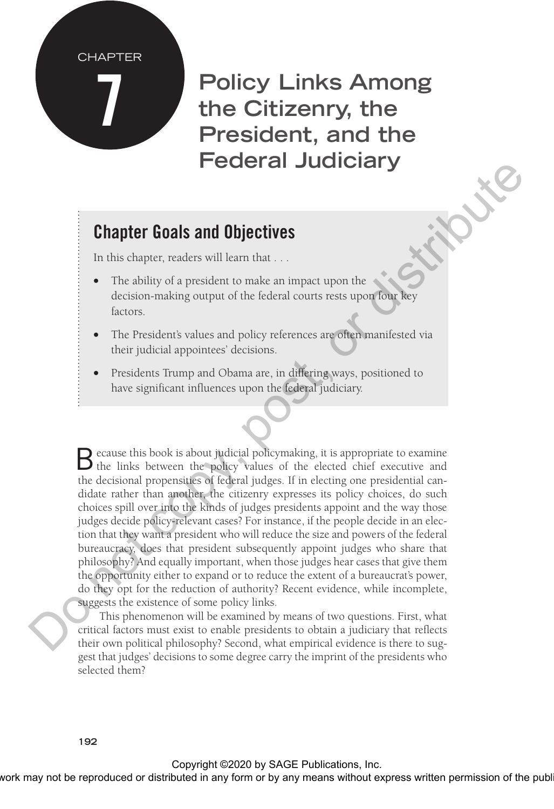

**Policy Links Among the Citizenry, the President, and the Federal Judiciary**

# Chapter Goals and Objectives

In this chapter, readers will learn that . . .

- The ability of a president to make an impact upon the decision-making output of the federal courts rests upon four key factors.
- The President's values and policy references are often manifested via their judicial appointees' decisions.
- Presidents Trump and Obama are, in differing ways, positioned to have significant influences upon the federal judiciary.

Because this book is about judicial policymaking, it is appropriate to examine the links between the policy values of the elected chief executive and the decisional propensities of federal judges. If in electing one presidential candidate rather than another, the citizenry expresses its policy choices, do such choices spill over into the kinds of judges presidents appoint and the way those judges decide policy-relevant cases? For instance, if the people decide in an election that they want a president who will reduce the size and powers of the federal bureaucracy, does that president subsequently appoint judges who share that philosophy? And equally important, when those judges hear cases that give them the opportunity either to expand or to reduce the extent of a bureaucrat's power, do they opt for the reduction of authority? Recent evidence, while incomplete, suggests the existence of some policy links. The court can be represented or the restate or distributed in any means with a striput and the publisher or distributed in any means were also that the publisher or distributed in a publisher and the publisher or distribu

This phenomenon will be examined by means of two questions. First, what critical factors must exist to enable presidents to obtain a judiciary that reflects their own political philosophy? Second, what empirical evidence is there to suggest that judges' decisions to some degree carry the imprint of the presidents who selected them?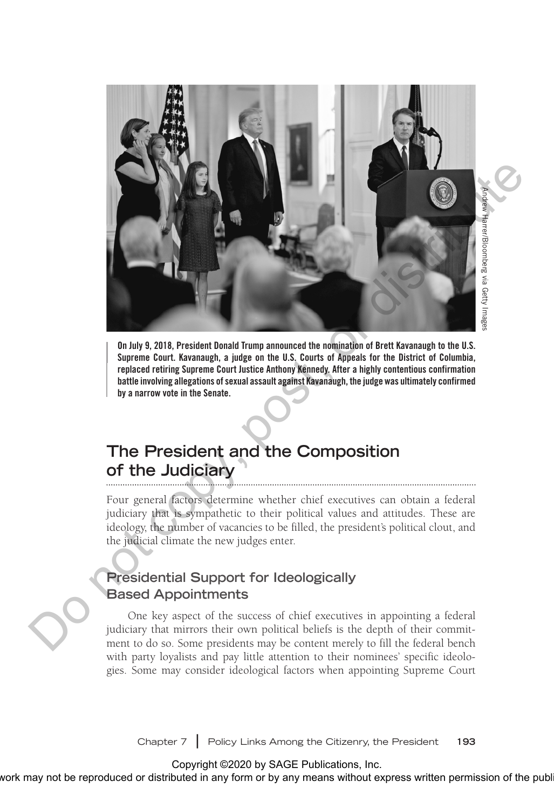

On July 9, 2018, President Donald Trump announced the nomination of Brett Kavanaugh to the U.S. Supreme Court. Kavanaugh, a judge on the U.S. Courts of Appeals for the District of Columbia, replaced retiring Supreme Court Justice Anthony Kennedy. After a highly contentious confirmation battle involving allegations of sexual assault against Kavanaugh, the judge was ultimately confirmed by a narrow vote in the Senate.

## **The President and the Composition of the Judiciary**

Four general factors determine whether chief executives can obtain a federal judiciary that is sympathetic to their political values and attitudes. These are ideology, the number of vacancies to be filled, the president's political clout, and the judicial climate the new judges enter.

### **Presidential Support for Ideologically Based Appointments**

One key aspect of the success of chief executives in appointing a federal judiciary that mirrors their own political beliefs is the depth of their commitment to do so. Some presidents may be content merely to fill the federal bench with party loyalists and pay little attention to their nominees' specific ideologies. Some may consider ideological factors when appointing Supreme Court

Chapter 7 **|** Policy Links Among the Citizenry, the President **<sup>193</sup>**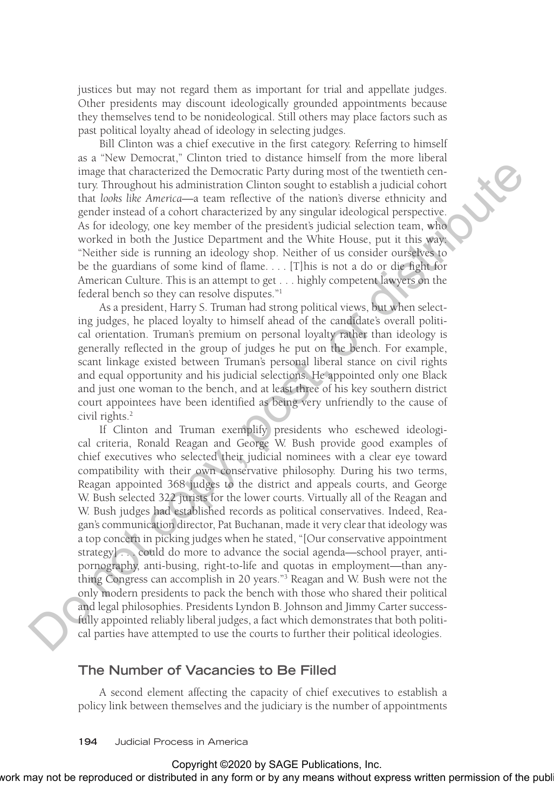justices but may not regard them as important for trial and appellate judges. Other presidents may discount ideologically grounded appointments because they themselves tend to be nonideological. Still others may place factors such as past political loyalty ahead of ideology in selecting judges.

Bill Clinton was a chief executive in the first category. Referring to himself as a "New Democrat," Clinton tried to distance himself from the more liberal image that characterized the Democratic Party during most of the twentieth century. Throughout his administration Clinton sought to establish a judicial cohort that *looks like America*—a team reflective of the nation's diverse ethnicity and gender instead of a cohort characterized by any singular ideological perspective. As for ideology, one key member of the president's judicial selection team, who worked in both the Justice Department and the White House, put it this way: "Neither side is running an ideology shop. Neither of us consider ourselves to be the guardians of some kind of flame. . . . [T]his is not a do or die fight for American Culture. This is an attempt to get . . . highly competent lawyers on the federal bench so they can resolve disputes."1

As a president, Harry S. Truman had strong political views, but when selecting judges, he placed loyalty to himself ahead of the candidate's overall political orientation. Truman's premium on personal loyalty rather than ideology is generally reflected in the group of judges he put on the bench. For example, scant linkage existed between Truman's personal liberal stance on civil rights and equal opportunity and his judicial selections. He appointed only one Black and just one woman to the bench, and at least three of his key southern district court appointees have been identified as being very unfriendly to the cause of civil rights.2

If Clinton and Truman exemplify presidents who eschewed ideological criteria, Ronald Reagan and George W. Bush provide good examples of chief executives who selected their judicial nominees with a clear eye toward compatibility with their own conservative philosophy. During his two terms, Reagan appointed 368 judges to the district and appeals courts, and George W. Bush selected 322 jurists for the lower courts. Virtually all of the Reagan and W. Bush judges had established records as political conservatives. Indeed, Reagan's communication director, Pat Buchanan, made it very clear that ideology was a top concern in picking judges when he stated, "[Our conservative appointment strategy] . . . could do more to advance the social agenda—school prayer, antipornography, anti-busing, right-to-life and quotas in employment—than anything Congress can accomplish in 20 years."3 Reagan and W. Bush were not the only modern presidents to pack the bench with those who shared their political and legal philosophies. Presidents Lyndon B. Johnson and Jimmy Carter successfully appointed reliably liberal judges, a fact which demonstrates that both political parties have attempted to use the courts to further their political ideologies. may not consider a computed or distributed or distributed or distributed in any means with look like Aschar and the reproduced or distributed in any means when the mass derivative of the repression or the may be repressed

#### **The Number of Vacancies to Be Filled**

A second element affecting the capacity of chief executives to establish a policy link between themselves and the judiciary is the number of appointments

**194** Judicial Process in America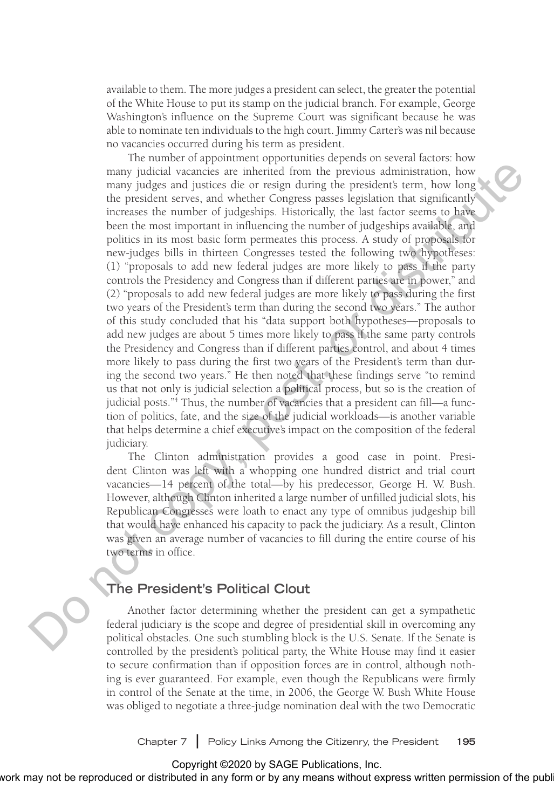available to them. The more judges a president can select, the greater the potential of the White House to put its stamp on the judicial branch. For example, George Washington's influence on the Supreme Court was significant because he was able to nominate ten individuals to the high court. Jimmy Carter's was nil because no vacancies occurred during his term as president.

The number of appointment opportunities depends on several factors: how many judicial vacancies are inherited from the previous administration, how many judges and justices die or resign during the president's term, how long the president serves, and whether Congress passes legislation that significantly increases the number of judgeships. Historically, the last factor seems to have been the most important in influencing the number of judgeships available, and politics in its most basic form permeates this process. A study of proposals for new-judges bills in thirteen Congresses tested the following two hypotheses: (1) "proposals to add new federal judges are more likely to pass if the party controls the Presidency and Congress than if different parties are in power," and (2) "proposals to add new federal judges are more likely to pass during the first two years of the President's term than during the second two years." The author of this study concluded that his "data support both hypotheses—proposals to add new judges are about 5 times more likely to pass if the same party controls the Presidency and Congress than if different parties control, and about 4 times more likely to pass during the first two years of the President's term than during the second two years." He then noted that these findings serve "to remind us that not only is judicial selection a political process, but so is the creation of judicial posts."4 Thus, the number of vacancies that a president can fill—a function of politics, fate, and the size of the judicial workloads—is another variable that helps determine a chief executive's impact on the composition of the federal judiciary. may judiced isomethical to compute the may be reproduced by the publisher may not be reproduced to distribute the reproduced or distributed by any means the publisher this application of the publisher. This means were som

The Clinton administration provides a good case in point. President Clinton was left with a whopping one hundred district and trial court vacancies—14 percent of the total—by his predecessor, George H. W. Bush. However, although Clinton inherited a large number of unfilled judicial slots, his Republican Congresses were loath to enact any type of omnibus judgeship bill that would have enhanced his capacity to pack the judiciary. As a result, Clinton was given an average number of vacancies to fill during the entire course of his two terms in office.

### **The President's Political Clout**

Another factor determining whether the president can get a sympathetic federal judiciary is the scope and degree of presidential skill in overcoming any political obstacles. One such stumbling block is the U.S. Senate. If the Senate is controlled by the president's political party, the White House may find it easier to secure confirmation than if opposition forces are in control, although nothing is ever guaranteed. For example, even though the Republicans were firmly in control of the Senate at the time, in 2006, the George W. Bush White House was obliged to negotiate a three-judge nomination deal with the two Democratic

Chapter 7 **|** Policy Links Among the Citizenry, the President **<sup>195</sup>**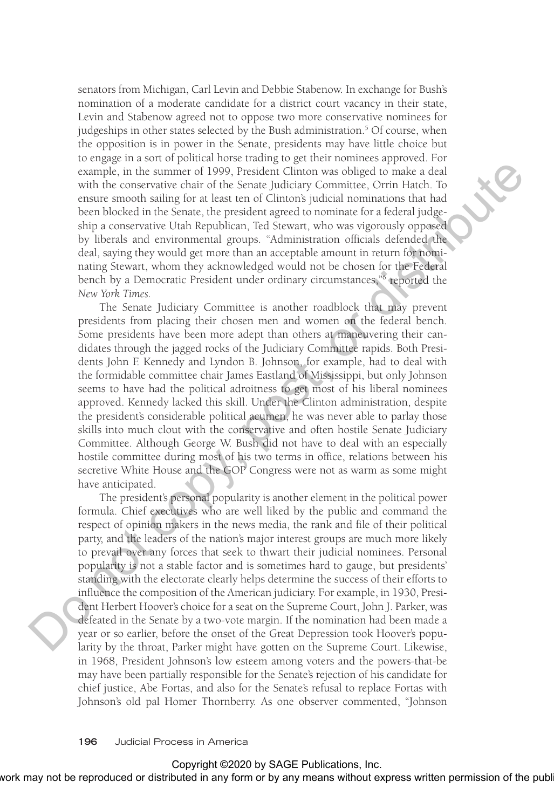senators from Michigan, Carl Levin and Debbie Stabenow. In exchange for Bush's nomination of a moderate candidate for a district court vacancy in their state, Levin and Stabenow agreed not to oppose two more conservative nominees for judgeships in other states selected by the Bush administration.<sup>5</sup> Of course, when the opposition is in power in the Senate, presidents may have little choice but to engage in a sort of political horse trading to get their nominees approved. For example, in the summer of 1999, President Clinton was obliged to make a deal with the conservative chair of the Senate Judiciary Committee, Orrin Hatch. To ensure smooth sailing for at least ten of Clinton's judicial nominations that had been blocked in the Senate, the president agreed to nominate for a federal judgeship a conservative Utah Republican, Ted Stewart, who was vigorously opposed by liberals and environmental groups. "Administration officials defended the deal, saying they would get more than an acceptable amount in return for nominating Stewart, whom they acknowledged would not be chosen for the Federal bench by a Democratic President under ordinary circumstances,"<sup>6</sup> reported the *New York Times.*

The Senate Judiciary Committee is another roadblock that may prevent presidents from placing their chosen men and women on the federal bench. Some presidents have been more adept than others at maneuvering their candidates through the jagged rocks of the Judiciary Committee rapids. Both Presidents John F. Kennedy and Lyndon B. Johnson, for example, had to deal with the formidable committee chair James Eastland of Mississippi, but only Johnson seems to have had the political adroitness to get most of his liberal nominees approved. Kennedy lacked this skill. Under the Clinton administration, despite the president's considerable political acumen, he was never able to parlay those skills into much clout with the conservative and often hostile Senate Judiciary Committee. Although George W. Bush did not have to deal with an especially hostile committee during most of his two terms in office, relations between his secretive White House and the GOP Congress were not as warm as some might have anticipated.

The president's personal popularity is another element in the political power formula. Chief executives who are well liked by the public and command the respect of opinion makers in the news media, the rank and file of their political party, and the leaders of the nation's major interest groups are much more likely to prevail over any forces that seek to thwart their judicial nominees. Personal popularity is not a stable factor and is sometimes hard to gauge, but presidents' standing with the electorate clearly helps determine the success of their efforts to influence the composition of the American judiciary. For example, in 1930, President Herbert Hoover's choice for a seat on the Supreme Court, John J. Parker, was defeated in the Senate by a two-vote margin. If the nomination had been made a year or so earlier, before the onset of the Great Depression took Hoover's popularity by the throat, Parker might have gotten on the Supreme Court. Likewise, in 1968, President Johnson's low esteem among voters and the powers-that-be may have been partially responsible for the Senate's rejection of his candidate for chief justice, Abe Fortas, and also for the Senate's refusal to replace Fortas with Johnson's old pal Homer Thornberry. As one observer commented, "Johnson Example the rest in the statistical or the rest of the rest or distributed in any form or by any means we cannot a large to represent the particular means when the last of the rest or by any means we cannot a large throug

**196** Judicial Process in America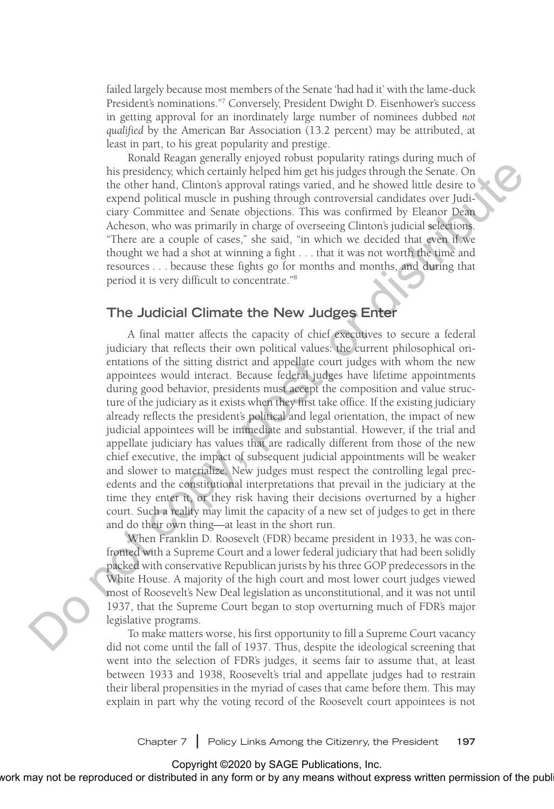failed largely because most members of the Senate 'had had it' with the lame-duck President's nominations."<sup>7</sup> Conversely, President Dwight D. Eisenhower's success in getting approval for an inordinately large number of nominees dubbed *not qualified* by the American Bar Association (13.2 percent) may be attributed, at least in part, to his great popularity and prestige.

Ronald Reagan generally enjoyed robust popularity ratings during much of his presidency, which certainly helped him get his judges through the Senate. On the other hand, Clinton's approval ratings varied, and he showed little desire to expend political muscle in pushing through controversial candidates over Judiciary Committee and Senate objections. This was confirmed by Eleanor Dean Acheson, who was primarily in charge of overseeing Clinton's judicial selections. "There are a couple of cases," she said, "in which we decided that even if we thought we had a shot at winning a fight . . . that it was not worth the time and resources . . . because these fights go for months and months, and during that period it is very difficult to concentrate."8

### **The Judicial Climate the New Judges Enter**

A final matter affects the capacity of chief executives to secure a federal judiciary that reflects their own political values: the current philosophical orientations of the sitting district and appellate court judges with whom the new appointees would interact. Because federal judges have lifetime appointments during good behavior, presidents must accept the composition and value structure of the judiciary as it exists when they first take office. If the existing judiciary already reflects the president's political and legal orientation, the impact of new judicial appointees will be immediate and substantial. However, if the trial and appellate judiciary has values that are radically different from those of the new chief executive, the impact of subsequent judicial appointments will be weaker and slower to materialize. New judges must respect the controlling legal precedents and the constitutional interpretations that prevail in the judiciary at the time they enter it, or they risk having their decisions overturned by a higher court. Such a reality may limit the capacity of a new set of judges to get in there and do their own thing—at least in the short run. Its pressions, which internally helight limit and the publisherior or by any form or by any means when the publisher or by any means when the publisher or  $\sim$  DeV any means when the publisher of the publisher or the publ

When Franklin D. Roosevelt (FDR) became president in 1933, he was confronted with a Supreme Court and a lower federal judiciary that had been solidly packed with conservative Republican jurists by his three GOP predecessors in the White House. A majority of the high court and most lower court judges viewed most of Roosevelt's New Deal legislation as unconstitutional, and it was not until 1937, that the Supreme Court began to stop overturning much of FDR's major legislative programs.

To make matters worse, his first opportunity to fill a Supreme Court vacancy did not come until the fall of 1937. Thus, despite the ideological screening that went into the selection of FDR's judges, it seems fair to assume that, at least between 1933 and 1938, Roosevelt's trial and appellate judges had to restrain their liberal propensities in the myriad of cases that came before them. This may explain in part why the voting record of the Roosevelt court appointees is not

Chapter 7 **|** Policy Links Among the Citizenry, the President **<sup>197</sup>**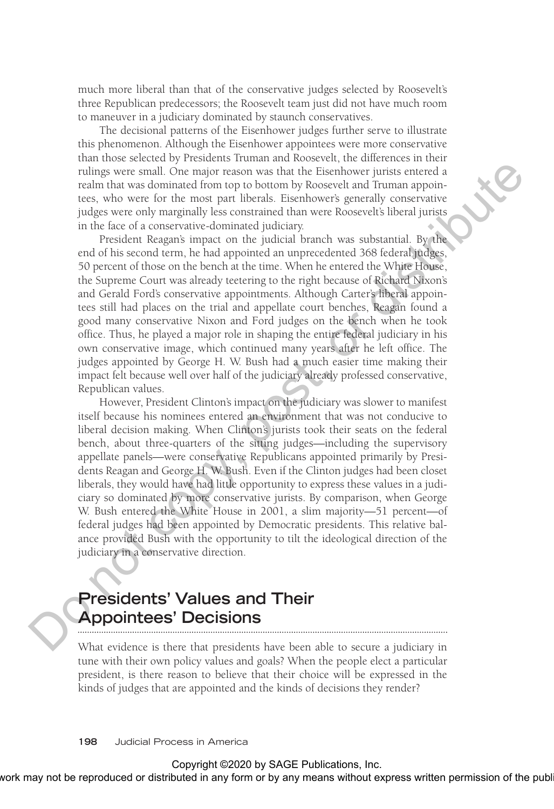much more liberal than that of the conservative judges selected by Roosevelt's three Republican predecessors; the Roosevelt team just did not have much room to maneuver in a judiciary dominated by staunch conservatives.

The decisional patterns of the Eisenhower judges further serve to illustrate this phenomenon. Although the Eisenhower appointees were more conservative than those selected by Presidents Truman and Roosevelt, the differences in their rulings were small. One major reason was that the Eisenhower jurists entered a realm that was dominated from top to bottom by Roosevelt and Truman appointees, who were for the most part liberals. Eisenhower's generally conservative judges were only marginally less constrained than were Roosevelt's liberal jurists in the face of a conservative-dominated judiciary.

President Reagan's impact on the judicial branch was substantial. By the end of his second term, he had appointed an unprecedented 368 federal judges, 50 percent of those on the bench at the time. When he entered the White House, the Supreme Court was already teetering to the right because of Richard Nixon's and Gerald Ford's conservative appointments. Although Carter's liberal appointees still had places on the trial and appellate court benches, Reagan found a good many conservative Nixon and Ford judges on the bench when he took office. Thus, he played a major role in shaping the entire federal judiciary in his own conservative image, which continued many years after he left office. The judges appointed by George H. W. Bush had a much easier time making their impact felt because well over half of the judiciary already professed conservative, Republican values. This way on the repression and the first host may not be reproduced to the representation of the representation or the publisher and the publisher angular permission or the publisher was not be representated in any means

However, President Clinton's impact on the judiciary was slower to manifest itself because his nominees entered an environment that was not conducive to liberal decision making. When Clinton's jurists took their seats on the federal bench, about three-quarters of the sitting judges—including the supervisory appellate panels—were conservative Republicans appointed primarily by Presidents Reagan and George H. W. Bush. Even if the Clinton judges had been closet liberals, they would have had little opportunity to express these values in a judiciary so dominated by more conservative jurists. By comparison, when George W. Bush entered the White House in 2001, a slim majority—51 percent—of federal judges had been appointed by Democratic presidents. This relative balance provided Bush with the opportunity to tilt the ideological direction of the judiciary in a conservative direction.

## **Presidents' Values and Their Appointees' Decisions**

What evidence is there that presidents have been able to secure a judiciary in tune with their own policy values and goals? When the people elect a particular president, is there reason to believe that their choice will be expressed in the kinds of judges that are appointed and the kinds of decisions they render?

**198** Judicial Process in America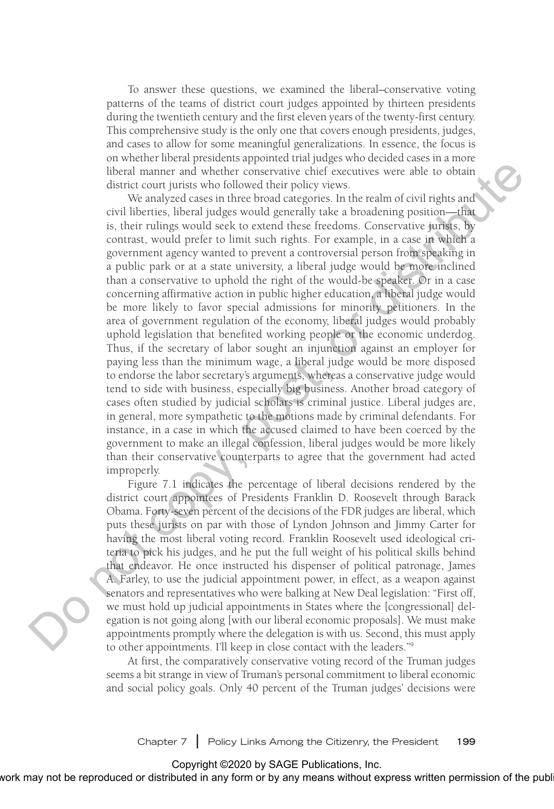To answer these questions, we examined the liberal–conservative voting patterns of the teams of district court judges appointed by thirteen presidents during the twentieth century and the first eleven years of the twenty-first century. This comprehensive study is the only one that covers enough presidents, judges, and cases to allow for some meaningful generalizations. In essence, the focus is on whether liberal presidents appointed trial judges who decided cases in a more liberal manner and whether conservative chief executives were able to obtain district court jurists who followed their policy views.

We analyzed cases in three broad categories. In the realm of civil rights and civil liberties, liberal judges would generally take a broadening position—that is, their rulings would seek to extend these freedoms. Conservative jurists, by contrast, would prefer to limit such rights. For example, in a case in which a government agency wanted to prevent a controversial person from speaking in a public park or at a state university, a liberal judge would be more inclined than a conservative to uphold the right of the would-be speaker. Or in a case concerning affirmative action in public higher education, a liberal judge would be more likely to favor special admissions for minority petitioners. In the area of government regulation of the economy, liberal judges would probably uphold legislation that benefited working people or the economic underdog. Thus, if the secretary of labor sought an injunction against an employer for paying less than the minimum wage, a liberal judge would be more disposed to endorse the labor secretary's arguments, whereas a conservative judge would tend to side with business, especially big business. Another broad category of cases often studied by judicial scholars is criminal justice. Liberal judges are, in general, more sympathetic to the motions made by criminal defendants. For instance, in a case in which the accused claimed to have been coerced by the government to make an illegal confession, liberal judges would be more likely than their conservative counterparts to agree that the government had acted improperly. Then the repression or distributed in any form of the relation of the relation of the relation of the relation of the relation of the relationships work mixing the state of the relationships work mixing the state of the r

Figure 7.1 indicates the percentage of liberal decisions rendered by the district court appointees of Presidents Franklin D. Roosevelt through Barack Obama. Forty-seven percent of the decisions of the FDR judges are liberal, which puts these jurists on par with those of Lyndon Johnson and Jimmy Carter for having the most liberal voting record. Franklin Roosevelt used ideological criteria to pick his judges, and he put the full weight of his political skills behind that endeavor. He once instructed his dispenser of political patronage, James A. Farley, to use the judicial appointment power, in effect, as a weapon against senators and representatives who were balking at New Deal legislation: "First off, we must hold up judicial appointments in States where the [congressional] delegation is not going along [with our liberal economic proposals]. We must make appointments promptly where the delegation is with us. Second, this must apply to other appointments. I'll keep in close contact with the leaders."9

At first, the comparatively conservative voting record of the Truman judges seems a bit strange in view of Truman's personal commitment to liberal economic and social policy goals. Only 40 percent of the Truman judges' decisions were

Chapter 7 **|** Policy Links Among the Citizenry, the President **<sup>199</sup>**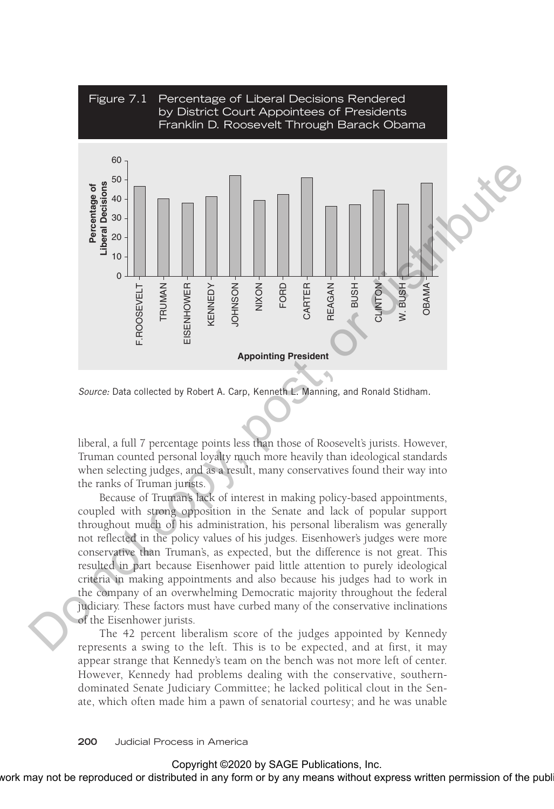

*Source:* Data collected by Robert A. Carp, Kenneth L. Manning, and Ronald Stidham.

liberal, a full 7 percentage points less than those of Roosevelt's jurists. However, Truman counted personal loyalty much more heavily than ideological standards when selecting judges, and as a result, many conservatives found their way into the ranks of Truman jurists.

Because of Truman's lack of interest in making policy-based appointments, coupled with strong opposition in the Senate and lack of popular support throughout much of his administration, his personal liberalism was generally not reflected in the policy values of his judges. Eisenhower's judges were more conservative than Truman's, as expected, but the difference is not great. This resulted in part because Eisenhower paid little attention to purely ideological criteria in making appointments and also because his judges had to work in the company of an overwhelming Democratic majority throughout the federal judiciary. These factors must have curbed many of the conservative inclinations of the Eisenhower jurists.

The 42 percent liberalism score of the judges appointed by Kennedy represents a swing to the left. This is to be expected, and at first, it may appear strange that Kennedy's team on the bench was not more left of center. However, Kennedy had problems dealing with the conservative, southerndominated Senate Judiciary Committee; he lacked political clout in the Senate, which often made him a pawn of senatorial courtesy; and he was unable

**200** Judicial Process in America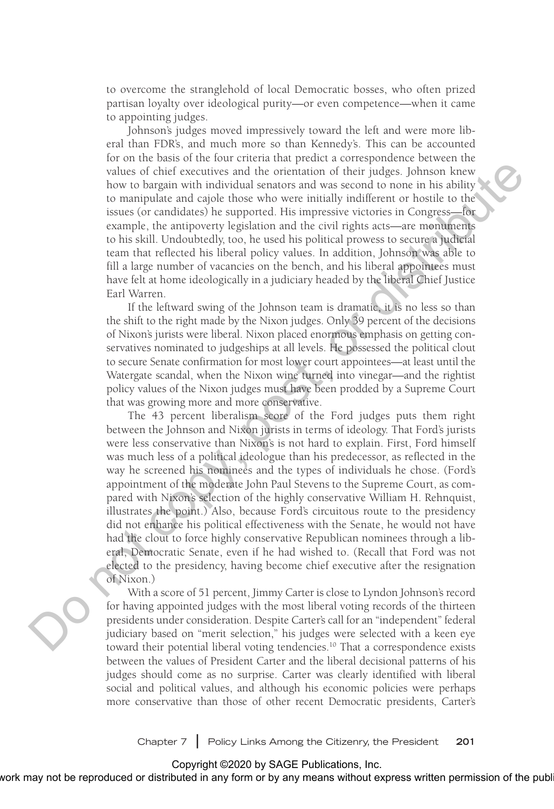to overcome the stranglehold of local Democratic bosses, who often prized partisan loyalty over ideological purity—or even competence—when it came to appointing judges.

Johnson's judges moved impressively toward the left and were more liberal than FDR's, and much more so than Kennedy's. This can be accounted for on the basis of the four criteria that predict a correspondence between the values of chief executives and the orientation of their judges. Johnson knew how to bargain with individual senators and was second to none in his ability to manipulate and cajole those who were initially indifferent or hostile to the issues (or candidates) he supported. His impressive victories in Congress—for example, the antipoverty legislation and the civil rights acts—are monuments to his skill. Undoubtedly, too, he used his political prowess to secure a judicial team that reflected his liberal policy values. In addition, Johnson was able to fill a large number of vacancies on the bench, and his liberal appointees must have felt at home ideologically in a judiciary headed by the liberal Chief Justice Earl Warren.

If the leftward swing of the Johnson team is dramatic, it is no less so than the shift to the right made by the Nixon judges. Only 39 percent of the decisions of Nixon's jurists were liberal. Nixon placed enormous emphasis on getting conservatives nominated to judgeships at all levels. He possessed the political clout to secure Senate confirmation for most lower court appointees—at least until the Watergate scandal, when the Nixon wine turned into vinegar—and the rightist policy values of the Nixon judges must have been prodded by a Supreme Court that was growing more and more conservative.

The 43 percent liberalism score of the Ford judges puts them right between the Johnson and Nixon jurists in terms of ideology. That Ford's jurists were less conservative than Nixon's is not hard to explain. First, Ford himself was much less of a political ideologue than his predecessor, as reflected in the way he screened his nominees and the types of individuals he chose. (Ford's appointment of the moderate John Paul Stevens to the Supreme Court, as compared with Nixon's selection of the highly conservative William H. Rehnquist, illustrates the point.) Also, because Ford's circuitous route to the presidency did not enhance his political effectiveness with the Senate, he would not have had the clout to force highly conservative Republican nominees through a liberal, Democratic Senate, even if he had wished to. (Recall that Ford was not elected to the presidency, having become chief executive after the resignation of Nixon.) values or their because or distributed in a continuous or distributed in any positive reproduced or distributed in any form or by any means we computed in any form or by any means we reproduced in any form or by any means

With a score of 51 percent, Jimmy Carter is close to Lyndon Johnson's record for having appointed judges with the most liberal voting records of the thirteen presidents under consideration. Despite Carter's call for an "independent" federal judiciary based on "merit selection," his judges were selected with a keen eye toward their potential liberal voting tendencies.<sup>10</sup> That a correspondence exists between the values of President Carter and the liberal decisional patterns of his judges should come as no surprise. Carter was clearly identified with liberal social and political values, and although his economic policies were perhaps more conservative than those of other recent Democratic presidents, Carter's

Chapter 7 **|** Policy Links Among the Citizenry, the President **<sup>201</sup>**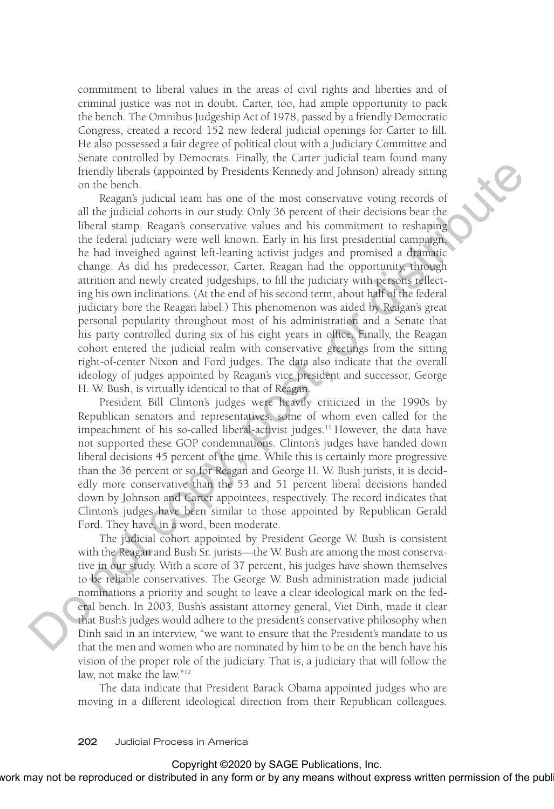commitment to liberal values in the areas of civil rights and liberties and of criminal justice was not in doubt. Carter, too, had ample opportunity to pack the bench. The Omnibus Judgeship Act of 1978, passed by a friendly Democratic Congress, created a record 152 new federal judicial openings for Carter to fill. He also possessed a fair degree of political clout with a Judiciary Committee and Senate controlled by Democrats. Finally, the Carter judicial team found many friendly liberals (appointed by Presidents Kennedy and Johnson) already sitting on the bench.

Reagan's judicial team has one of the most conservative voting records of all the judicial cohorts in our study. Only 36 percent of their decisions bear the liberal stamp. Reagan's conservative values and his commitment to reshaping the federal judiciary were well known. Early in his first presidential campaign, he had inveighed against left-leaning activist judges and promised a dramatic change. As did his predecessor, Carter, Reagan had the opportunity, through attrition and newly created judgeships, to fill the judiciary with persons reflecting his own inclinations. (At the end of his second term, about half of the federal judiciary bore the Reagan label.) This phenomenon was aided by Reagan's great personal popularity throughout most of his administration and a Senate that his party controlled during six of his eight years in office. Finally, the Reagan cohort entered the judicial realm with conservative greetings from the sitting right-of-center Nixon and Ford judges. The data also indicate that the overall ideology of judges appointed by Reagan's vice president and successor, George H. W. Bush, is virtually identical to that of Reagan. It can be reproduced to the mean contents with more in an expression of the results of the results with a space in any means we can observe when the mean content or behaviour and the commutent to the mean content of the m

President Bill Clinton's judges were heavily criticized in the 1990s by Republican senators and representatives, some of whom even called for the impeachment of his so-called liberal-activist judges.<sup>11</sup> However, the data have not supported these GOP condemnations. Clinton's judges have handed down liberal decisions 45 percent of the time. While this is certainly more progressive than the 36 percent or so for Reagan and George H. W. Bush jurists, it is decidedly more conservative than the 53 and 51 percent liberal decisions handed down by Johnson and Carter appointees, respectively. The record indicates that Clinton's judges have been similar to those appointed by Republican Gerald Ford. They have, in a word, been moderate.

The judicial cohort appointed by President George W. Bush is consistent with the Reagan and Bush Sr. jurists—the W. Bush are among the most conservative in our study. With a score of 37 percent, his judges have shown themselves to be reliable conservatives. The George W. Bush administration made judicial nominations a priority and sought to leave a clear ideological mark on the federal bench. In 2003, Bush's assistant attorney general, Viet Dinh, made it clear that Bush's judges would adhere to the president's conservative philosophy when Dinh said in an interview, "we want to ensure that the President's mandate to us that the men and women who are nominated by him to be on the bench have his vision of the proper role of the judiciary. That is, a judiciary that will follow the law, not make the law."12

The data indicate that President Barack Obama appointed judges who are moving in a different ideological direction from their Republican colleagues.

**202** Judicial Process in America

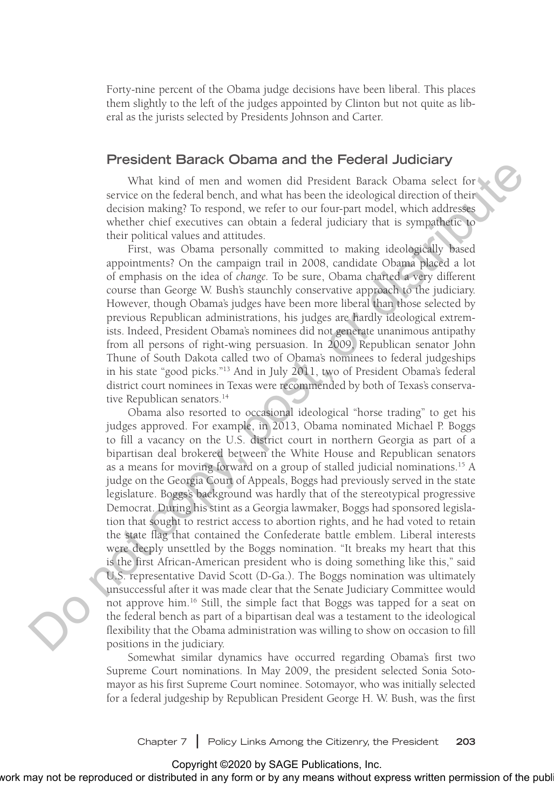Forty-nine percent of the Obama judge decisions have been liberal. This places them slightly to the left of the judges appointed by Clinton but not quite as liberal as the jurists selected by Presidents Johnson and Carter.

#### **President Barack Obama and the Federal Judiciary**

What kind of men and women did President Barack Obama select for service on the federal bench, and what has been the ideological direction of their decision making? To respond, we refer to our four-part model, which addresses whether chief executives can obtain a federal judiciary that is sympathetic to their political values and attitudes.

First, was Obama personally committed to making ideologically based appointments? On the campaign trail in 2008, candidate Obama placed a lot of emphasis on the idea of *change.* To be sure, Obama charted a very different course than George W. Bush's staunchly conservative approach to the judiciary. However, though Obama's judges have been more liberal than those selected by previous Republican administrations, his judges are hardly ideological extremists. Indeed, President Obama's nominees did not generate unanimous antipathy from all persons of right-wing persuasion. In 2009, Republican senator John Thune of South Dakota called two of Obama's nominees to federal judgeships in his state "good picks."13 And in July 2011, two of President Obama's federal district court nominees in Texas were recommended by both of Texas's conservative Republican senators.<sup>14</sup>

Obama also resorted to occasional ideological "horse trading" to get his judges approved. For example, in 2013, Obama nominated Michael P. Boggs to fill a vacancy on the U.S. district court in northern Georgia as part of a bipartisan deal brokered between the White House and Republican senators as a means for moving forward on a group of stalled judicial nominations.<sup>15</sup> A judge on the Georgia Court of Appeals, Boggs had previously served in the state legislature. Boggs's background was hardly that of the stereotypical progressive Democrat. During his stint as a Georgia lawmaker, Boggs had sponsored legislation that sought to restrict access to abortion rights, and he had voted to retain the state flag that contained the Confederate battle emblem. Liberal interests were deeply unsettled by the Boggs nomination. "It breaks my heart that this is the first African-American president who is doing something like this," said U.S. representative David Scott (D‑Ga.). The Boggs nomination was ultimately unsuccessful after it was made clear that the Senate Judiciary Committee would not approve him.<sup>16</sup> Still, the simple fact that Boggs was tapped for a seat on the federal bench as part of a bipartisan deal was a testament to the ideological flexibility that the Obama administration was willing to show on occasion to fill positions in the judiciary. The same of the representation of the representation of the representation of the representation of the representation of the representation of the representation of the representation of the publisher. The computed in a

Somewhat similar dynamics have occurred regarding Obama's first two Supreme Court nominations. In May 2009, the president selected Sonia Sotomayor as his first Supreme Court nominee. Sotomayor, who was initially selected for a federal judgeship by Republican President George H. W. Bush, was the first

Chapter 7 **|** Policy Links Among the Citizenry, the President **<sup>203</sup>**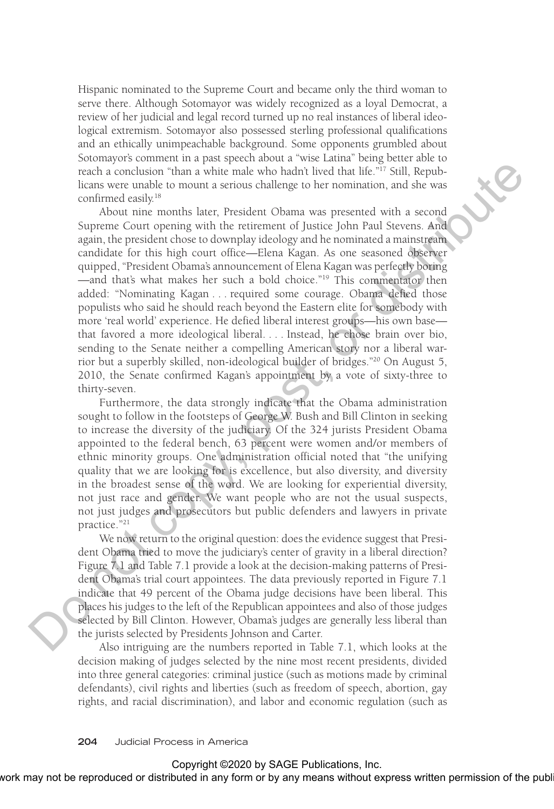Hispanic nominated to the Supreme Court and became only the third woman to serve there. Although Sotomayor was widely recognized as a loyal Democrat, a review of her judicial and legal record turned up no real instances of liberal ideological extremism. Sotomayor also possessed sterling professional qualifications and an ethically unimpeachable background. Some opponents grumbled about Sotomayor's comment in a past speech about a "wise Latina" being better able to reach a conclusion "than a white male who hadn't lived that life."17 Still, Republicans were unable to mount a serious challenge to her nomination, and she was confirmed easily.18

About nine months later, President Obama was presented with a second Supreme Court opening with the retirement of Justice John Paul Stevens. And again, the president chose to downplay ideology and he nominated a mainstream candidate for this high court office—Elena Kagan. As one seasoned observer quipped, "President Obama's announcement of Elena Kagan was perfectly boring —and that's what makes her such a bold choice."19 This commentator then added: "Nominating Kagan . . . required some courage. Obama defied those populists who said he should reach beyond the Eastern elite for somebody with more 'real world' experience. He defied liberal interest groups—his own base that favored a more ideological liberal. . . . Instead, he chose brain over bio, sending to the Senate neither a compelling American story nor a liberal warrior but a superbly skilled, non-ideological builder of bridges."20 On August 5, 2010, the Senate confirmed Kagan's appointment by a vote of sixty-three to thirty-seven. The results of the results of the results of the representation of the results of the results of the results of the results of the results of the results of the results of the results of the results of the results of the

Furthermore, the data strongly indicate that the Obama administration sought to follow in the footsteps of George W. Bush and Bill Clinton in seeking to increase the diversity of the judiciary. Of the 324 jurists President Obama appointed to the federal bench, 63 percent were women and/or members of ethnic minority groups. One administration official noted that "the unifying quality that we are looking for is excellence, but also diversity, and diversity in the broadest sense of the word. We are looking for experiential diversity, not just race and gender. We want people who are not the usual suspects, not just judges and prosecutors but public defenders and lawyers in private practice."21

We now return to the original question: does the evidence suggest that President Obama tried to move the judiciary's center of gravity in a liberal direction? Figure 7.1 and Table 7.1 provide a look at the decision-making patterns of President Obama's trial court appointees. The data previously reported in Figure 7.1 indicate that 49 percent of the Obama judge decisions have been liberal. This places his judges to the left of the Republican appointees and also of those judges selected by Bill Clinton. However, Obama's judges are generally less liberal than the jurists selected by Presidents Johnson and Carter.

Also intriguing are the numbers reported in Table 7.1, which looks at the decision making of judges selected by the nine most recent presidents, divided into three general categories: criminal justice (such as motions made by criminal defendants), civil rights and liberties (such as freedom of speech, abortion, gay rights, and racial discrimination), and labor and economic regulation (such as

#### **204** Judicial Process in America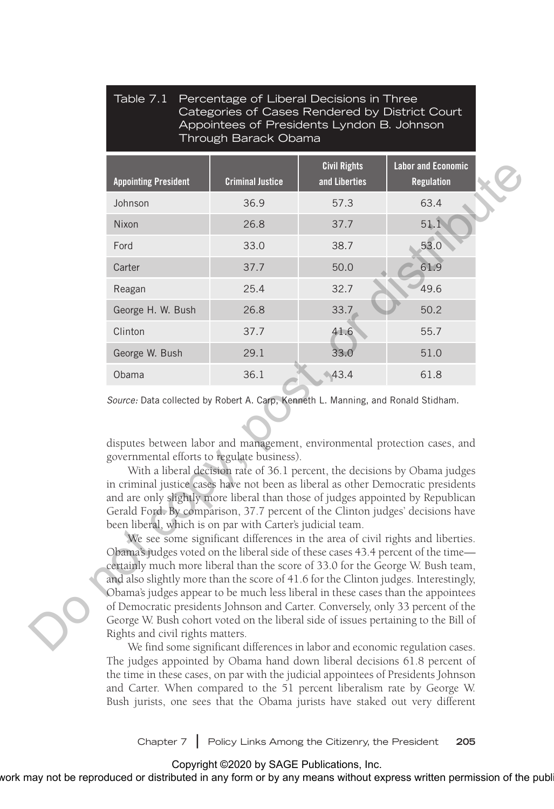|                                                                                                                      | Percentage of Liberal Decisions in Three<br>Categories of Cases Rendered by District Court<br>Appointees of Presidents Lyndon B. Johnson<br>Through Barack Obama                                                                                                                                                                                                                                                                                                                                                                                                                                                                                                                                                                                                                                                                                                                                                                                                                                                                                                                                                                                                                                                                                                                                           |                                      |                                                |  |
|----------------------------------------------------------------------------------------------------------------------|------------------------------------------------------------------------------------------------------------------------------------------------------------------------------------------------------------------------------------------------------------------------------------------------------------------------------------------------------------------------------------------------------------------------------------------------------------------------------------------------------------------------------------------------------------------------------------------------------------------------------------------------------------------------------------------------------------------------------------------------------------------------------------------------------------------------------------------------------------------------------------------------------------------------------------------------------------------------------------------------------------------------------------------------------------------------------------------------------------------------------------------------------------------------------------------------------------------------------------------------------------------------------------------------------------|--------------------------------------|------------------------------------------------|--|
| <b>Appointing President</b>                                                                                          | <b>Criminal Justice</b>                                                                                                                                                                                                                                                                                                                                                                                                                                                                                                                                                                                                                                                                                                                                                                                                                                                                                                                                                                                                                                                                                                                                                                                                                                                                                    | <b>Civil Rights</b><br>and Liberties | <b>Labor and Economic</b><br><b>Regulation</b> |  |
| Johnson                                                                                                              | 36.9                                                                                                                                                                                                                                                                                                                                                                                                                                                                                                                                                                                                                                                                                                                                                                                                                                                                                                                                                                                                                                                                                                                                                                                                                                                                                                       | 57.3                                 | 63.4                                           |  |
| Nixon                                                                                                                | 26.8                                                                                                                                                                                                                                                                                                                                                                                                                                                                                                                                                                                                                                                                                                                                                                                                                                                                                                                                                                                                                                                                                                                                                                                                                                                                                                       | 37.7                                 | 51.1                                           |  |
| Ford                                                                                                                 | 33.0                                                                                                                                                                                                                                                                                                                                                                                                                                                                                                                                                                                                                                                                                                                                                                                                                                                                                                                                                                                                                                                                                                                                                                                                                                                                                                       | 38.7                                 | 53.0                                           |  |
| Carter                                                                                                               | 37.7                                                                                                                                                                                                                                                                                                                                                                                                                                                                                                                                                                                                                                                                                                                                                                                                                                                                                                                                                                                                                                                                                                                                                                                                                                                                                                       | 50.0                                 | 61.9                                           |  |
| Reagan                                                                                                               | 25.4                                                                                                                                                                                                                                                                                                                                                                                                                                                                                                                                                                                                                                                                                                                                                                                                                                                                                                                                                                                                                                                                                                                                                                                                                                                                                                       | 32.7                                 | 49.6                                           |  |
| George H. W. Bush                                                                                                    | 26.8                                                                                                                                                                                                                                                                                                                                                                                                                                                                                                                                                                                                                                                                                                                                                                                                                                                                                                                                                                                                                                                                                                                                                                                                                                                                                                       | 33.7                                 | 50.2                                           |  |
| Clinton                                                                                                              | 37.7                                                                                                                                                                                                                                                                                                                                                                                                                                                                                                                                                                                                                                                                                                                                                                                                                                                                                                                                                                                                                                                                                                                                                                                                                                                                                                       | 41.6                                 | 55.7                                           |  |
| George W. Bush                                                                                                       | 29.1                                                                                                                                                                                                                                                                                                                                                                                                                                                                                                                                                                                                                                                                                                                                                                                                                                                                                                                                                                                                                                                                                                                                                                                                                                                                                                       | 33.0                                 | 51.0                                           |  |
| Obama                                                                                                                | 36.1                                                                                                                                                                                                                                                                                                                                                                                                                                                                                                                                                                                                                                                                                                                                                                                                                                                                                                                                                                                                                                                                                                                                                                                                                                                                                                       | 43.4                                 | 61.8                                           |  |
|                                                                                                                      | With a liberal decision rate of 36.1 percent, the decisions by Obama judges<br>in criminal justice cases have not been as liberal as other Democratic presidents<br>and are only slightly more liberal than those of judges appointed by Republican<br>Gerald Ford. By comparison, 37.7 percent of the Clinton judges' decisions have<br>been liberal, which is on par with Carter's judicial team.<br>We see some significant differences in the area of civil rights and liberties.<br>Obama's judges voted on the liberal side of these cases 43.4 percent of the time-<br>certainly much more liberal than the score of 33.0 for the George W. Bush team,<br>and also slightly more than the score of 41.6 for the Clinton judges. Interestingly,<br>Obama's judges appear to be much less liberal in these cases than the appointees<br>of Democratic presidents Johnson and Carter. Conversely, only 33 percent of the<br>George W. Bush cohort voted on the liberal side of issues pertaining to the Bill of<br>Rights and civil rights matters.<br>We find some significant differences in labor and economic regulation cases.<br>The judges appointed by Obama hand down liberal decisions 61.8 percent of<br>the time in these cases, on par with the judicial appointees of Presidents Johnson |                                      |                                                |  |
| work may not be reproduced or distributed in any form or by any means without express written permission of the publ | and Carter. When compared to the 51 percent liberalism rate by George W.<br>Bush jurists, one sees that the Obama jurists have staked out very different<br>Chapter 7   Policy Links Among the Citizenry, the President<br>Copyright ©2020 by SAGE Publications, Inc.                                                                                                                                                                                                                                                                                                                                                                                                                                                                                                                                                                                                                                                                                                                                                                                                                                                                                                                                                                                                                                      |                                      | 205                                            |  |

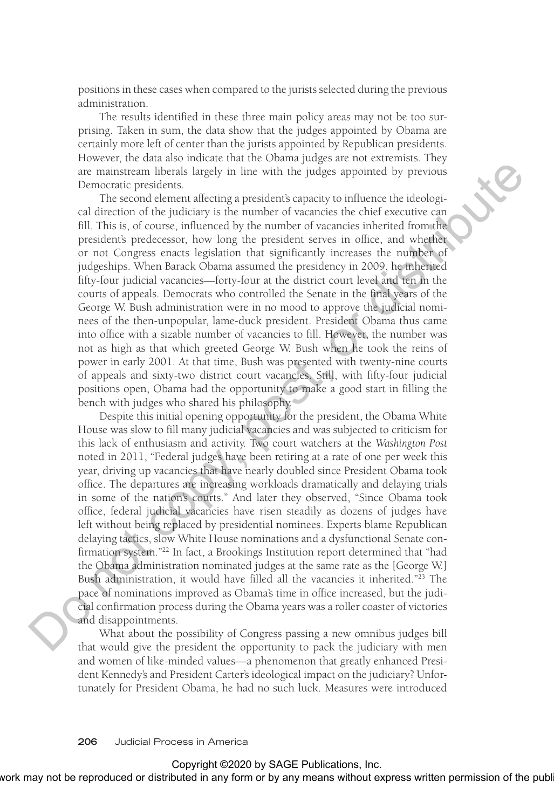positions in these cases when compared to the jurists selected during the previous administration.

The results identified in these three main policy areas may not be too surprising. Taken in sum, the data show that the judges appointed by Obama are certainly more left of center than the jurists appointed by Republican presidents. However, the data also indicate that the Obama judges are not extremists. They are mainstream liberals largely in line with the judges appointed by previous Democratic presidents.

The second element affecting a president's capacity to influence the ideological direction of the judiciary is the number of vacancies the chief executive can fill. This is, of course, influenced by the number of vacancies inherited from the president's predecessor, how long the president serves in office, and whether or not Congress enacts legislation that significantly increases the number of judgeships. When Barack Obama assumed the presidency in 2009, he inherited fifty-four judicial vacancies—forty-four at the district court level and ten in the courts of appeals. Democrats who controlled the Senate in the final years of the George W. Bush administration were in no mood to approve the judicial nominees of the then-unpopular, lame-duck president. President Obama thus came into office with a sizable number of vacancies to fill. However, the number was not as high as that which greeted George W. Bush when he took the reins of power in early 2001. At that time, Bush was presented with twenty-nine courts of appeals and sixty-two district court vacancies. Still, with fifty-four judicial positions open, Obama had the opportunity to make a good start in filling the bench with judges who shared his philosophy. The matrix may not be repressed or distributed or distributed in any form or by any form or by any measure of the second determinations of the maxime of the second in any form or by any measure of the publisher of the pub

Despite this initial opening opportunity for the president, the Obama White House was slow to fill many judicial vacancies and was subjected to criticism for this lack of enthusiasm and activity. Two court watchers at the *Washington Post* noted in 2011, "Federal judges have been retiring at a rate of one per week this year, driving up vacancies that have nearly doubled since President Obama took office. The departures are increasing workloads dramatically and delaying trials in some of the nation's courts." And later they observed, "Since Obama took office, federal judicial vacancies have risen steadily as dozens of judges have left without being replaced by presidential nominees. Experts blame Republican delaying tactics, slow White House nominations and a dysfunctional Senate confirmation system."22 In fact, a Brookings Institution report determined that "had the Obama administration nominated judges at the same rate as the [George W.] Bush administration, it would have filled all the vacancies it inherited."23 The pace of nominations improved as Obama's time in office increased, but the judicial confirmation process during the Obama years was a roller coaster of victories and disappointments.

What about the possibility of Congress passing a new omnibus judges bill that would give the president the opportunity to pack the judiciary with men and women of like-minded values—a phenomenon that greatly enhanced President Kennedy's and President Carter's ideological impact on the judiciary? Unfortunately for President Obama, he had no such luck. Measures were introduced

**206** Judicial Process in America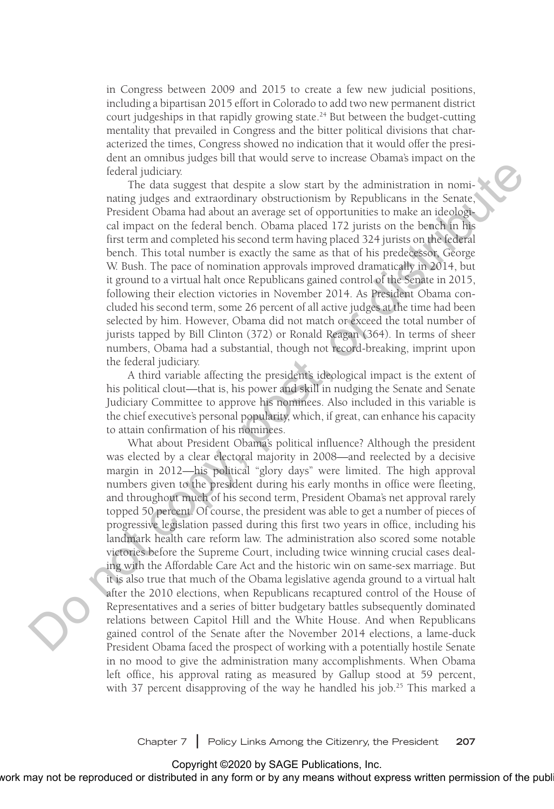in Congress between 2009 and 2015 to create a few new judicial positions, including a bipartisan 2015 effort in Colorado to add two new permanent district court judgeships in that rapidly growing state.<sup>24</sup> But between the budget-cutting mentality that prevailed in Congress and the bitter political divisions that characterized the times, Congress showed no indication that it would offer the president an omnibus judges bill that would serve to increase Obama's impact on the federal judiciary.

The data suggest that despite a slow start by the administration in nominating judges and extraordinary obstructionism by Republicans in the Senate, President Obama had about an average set of opportunities to make an ideological impact on the federal bench. Obama placed 172 jurists on the bench in his first term and completed his second term having placed 324 jurists on the federal bench. This total number is exactly the same as that of his predecessor, George W. Bush. The pace of nomination approvals improved dramatically in 2014, but it ground to a virtual halt once Republicans gained control of the Senate in 2015, following their election victories in November 2014. As President Obama concluded his second term, some 26 percent of all active judges at the time had been selected by him. However, Obama did not match or exceed the total number of jurists tapped by Bill Clinton (372) or Ronald Reagan (364). In terms of sheer numbers, Obama had a substantial, though not record-breaking, imprint upon the federal judiciary.

A third variable affecting the president's ideological impact is the extent of his political clout—that is, his power and skill in nudging the Senate and Senate Judiciary Committee to approve his nominees. Also included in this variable is the chief executive's personal popularity, which, if great, can enhance his capacity to attain confirmation of his nominees.

What about President Obama's political influence? Although the president was elected by a clear electoral majority in 2008—and reelected by a decisive margin in 2012—his political "glory days" were limited. The high approval numbers given to the president during his early months in office were fleeting, and throughout much of his second term, President Obama's net approval rarely topped 50 percent. Of course, the president was able to get a number of pieces of progressive legislation passed during this first two years in office, including his landmark health care reform law. The administration also scored some notable victories before the Supreme Court, including twice winning crucial cases dealing with the Affordable Care Act and the historic win on same-sex marriage. But it is also true that much of the Obama legislative agenda ground to a virtual halt after the 2010 elections, when Republicans recaptured control of the House of Representatives and a series of bitter budgetary battles subsequently dominated relations between Capitol Hill and the White House. And when Republicans gained control of the Senate after the November 2014 elections, a lame-duck President Obama faced the prospect of working with a potentially hostile Senate in no mood to give the administration many accomplishments. When Obama left office, his approval rating as measured by Gallup stood at 59 percent, with 37 percent disapproving of the way he handled his job.<sup>25</sup> This marked a Form in any fit is equal or the reproduced or distributed in any form or by any means when the reproduced or distributed in a score of the publishers in the Semi-Apple control in the smaller permission of the publisher. O

Chapter 7 **|** Policy Links Among the Citizenry, the President **<sup>207</sup>**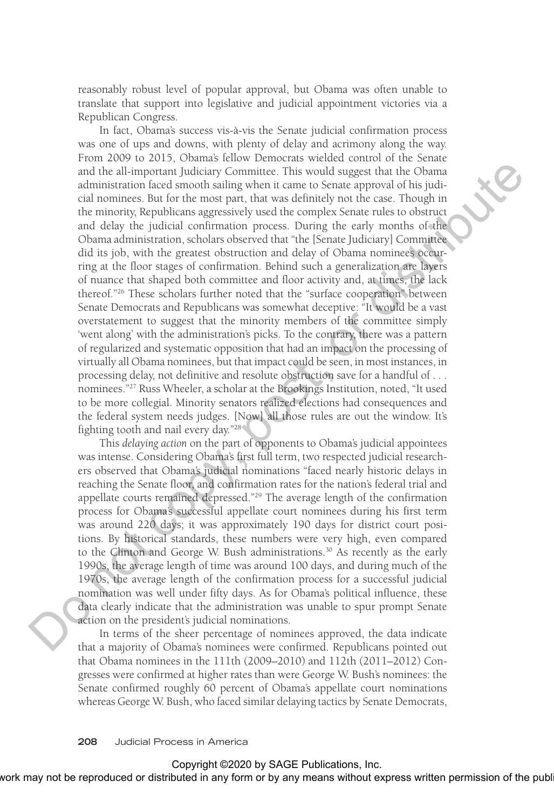reasonably robust level of popular approval, but Obama was often unable to translate that support into legislative and judicial appointment victories via a Republican Congress.

In fact, Obama's success vis-à-vis the Senate judicial confirmation process was one of ups and downs, with plenty of delay and acrimony along the way. From 2009 to 2015, Obama's fellow Democrats wielded control of the Senate and the all-important Judiciary Committee. This would suggest that the Obama administration faced smooth sailing when it came to Senate approval of his judicial nominees. But for the most part, that was definitely not the case. Though in the minority, Republicans aggressively used the complex Senate rules to obstruct and delay the judicial confirmation process. During the early months of the Obama administration, scholars observed that "the [Senate Judiciary] Committee did its job, with the greatest obstruction and delay of Obama nominees occurring at the floor stages of confirmation. Behind such a generalization are layers of nuance that shaped both committee and floor activity and, at times, the lack thereof."26 These scholars further noted that the "surface cooperation" between Senate Democrats and Republicans was somewhat deceptive: "It would be a vast overstatement to suggest that the minority members of the committee simply 'went along' with the administration's picks. To the contrary, there was a pattern of regularized and systematic opposition that had an impact on the processing of virtually all Obama nominees, but that impact could be seen, in most instances, in processing delay, not definitive and resolute obstruction save for a handful of . . . nominees."27 Russ Wheeler, a scholar at the Brookings Institution, noted, "It used to be more collegial. Minority senators realized elections had consequences and the federal system needs judges. [Now] all those rules are out the window. It's fighting tooth and nail every day."28 and the alternative contract may consist much be reproduced in any means with the computed in any means with the rest publisher or the computed in any means were computed in a may not be represented in a solution of the p

This *delaying action* on the part of opponents to Obama's judicial appointees was intense. Considering Obama's first full term, two respected judicial researchers observed that Obama's judicial nominations "faced nearly historic delays in reaching the Senate floor, and confirmation rates for the nation's federal trial and appellate courts remained depressed."29 The average length of the confirmation process for Obama's successful appellate court nominees during his first term was around 220 days; it was approximately 190 days for district court positions. By historical standards, these numbers were very high, even compared to the Clinton and George W. Bush administrations.<sup>30</sup> As recently as the early 1990s, the average length of time was around 100 days, and during much of the 1970s, the average length of the confirmation process for a successful judicial nomination was well under fifty days. As for Obama's political influence, these data clearly indicate that the administration was unable to spur prompt Senate action on the president's judicial nominations.

In terms of the sheer percentage of nominees approved, the data indicate that a majority of Obama's nominees were confirmed. Republicans pointed out that Obama nominees in the 111th (2009–2010) and 112th (2011–2012) Congresses were confirmed at higher rates than were George W. Bush's nominees: the Senate confirmed roughly 60 percent of Obama's appellate court nominations whereas George W. Bush, who faced similar delaying tactics by Senate Democrats,

**208** Judicial Process in America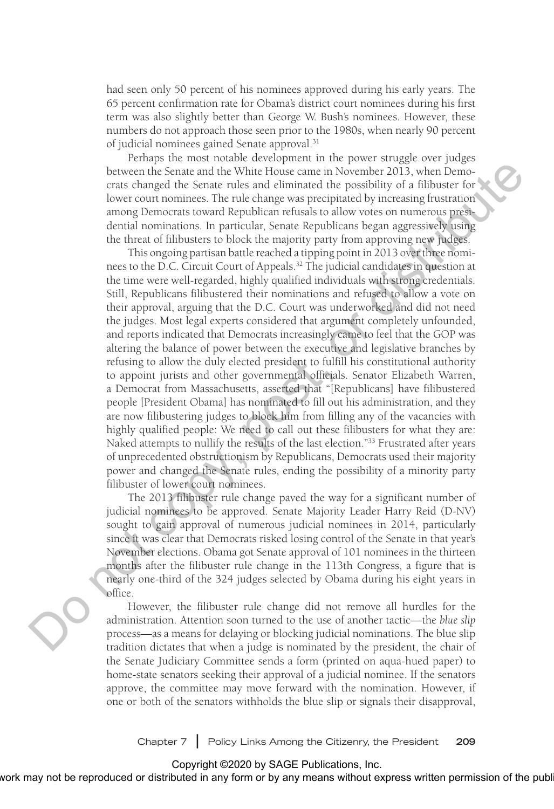had seen only 50 percent of his nominees approved during his early years. The 65 percent confirmation rate for Obama's district court nominees during his first term was also slightly better than George W. Bush's nominees. However, these numbers do not approach those seen prior to the 1980s, when nearly 90 percent of judicial nominees gained Senate approval.<sup>31</sup>

Perhaps the most notable development in the power struggle over judges between the Senate and the White House came in November 2013, when Democrats changed the Senate rules and eliminated the possibility of a filibuster for lower court nominees. The rule change was precipitated by increasing frustration among Democrats toward Republican refusals to allow votes on numerous presidential nominations. In particular, Senate Republicans began aggressively using the threat of filibusters to block the majority party from approving new judges.

This ongoing partisan battle reached a tipping point in 2013 over three nominees to the D.C. Circuit Court of Appeals.<sup>32</sup> The judicial candidates in question at the time were well-regarded, highly qualified individuals with strong credentials. Still, Republicans filibustered their nominations and refused to allow a vote on their approval, arguing that the D.C. Court was underworked and did not need the judges. Most legal experts considered that argument completely unfounded, and reports indicated that Democrats increasingly came to feel that the GOP was altering the balance of power between the executive and legislative branches by refusing to allow the duly elected president to fulfill his constitutional authority to appoint jurists and other governmental officials. Senator Elizabeth Warren, a Democrat from Massachusetts, asserted that "[Republicans] have filibustered people [President Obama] has nominated to fill out his administration, and they are now filibustering judges to block him from filling any of the vacancies with highly qualified people: We need to call out these filibusters for what they are: Naked attempts to nullify the results of the last election."<sup>33</sup> Frustrated after years of unprecedented obstructionism by Republicans, Democrats used their majority power and changed the Senate rules, ending the possibility of a minority party filibuster of lower court nominees. between the states and the rest may be reproduced to the relation or by any form or by any means we control to the relation the relation of the relation of the relation of the relation of the relation of the relation of t

The 2013 filibuster rule change paved the way for a significant number of judicial nominees to be approved. Senate Majority Leader Harry Reid (D-NV) sought to gain approval of numerous judicial nominees in 2014, particularly since it was clear that Democrats risked losing control of the Senate in that year's November elections. Obama got Senate approval of 101 nominees in the thirteen months after the filibuster rule change in the 113th Congress, a figure that is nearly one-third of the 324 judges selected by Obama during his eight years in office.

However, the filibuster rule change did not remove all hurdles for the administration. Attention soon turned to the use of another tactic—the *blue slip* process—as a means for delaying or blocking judicial nominations. The blue slip tradition dictates that when a judge is nominated by the president, the chair of the Senate Judiciary Committee sends a form (printed on aqua-hued paper) to home-state senators seeking their approval of a judicial nominee. If the senators approve, the committee may move forward with the nomination. However, if one or both of the senators withholds the blue slip or signals their disapproval,

Chapter 7 **|** Policy Links Among the Citizenry, the President **<sup>209</sup>**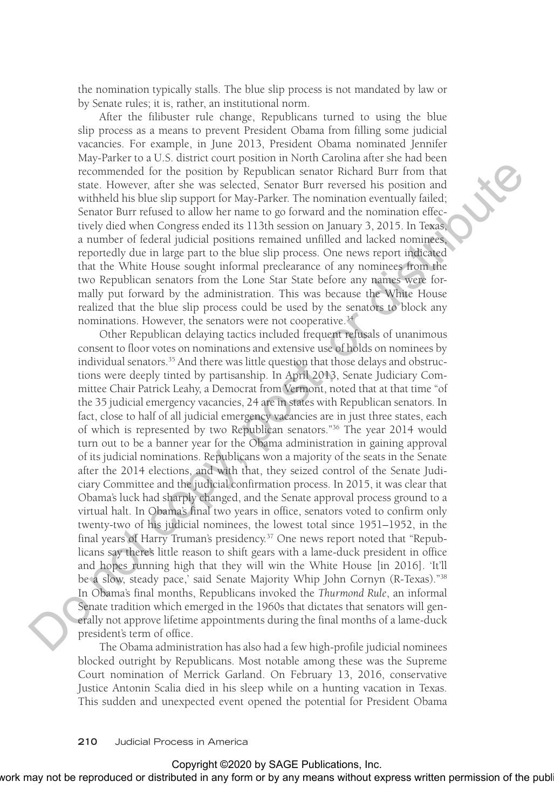the nomination typically stalls. The blue slip process is not mandated by law or by Senate rules; it is, rather, an institutional norm.

After the filibuster rule change, Republicans turned to using the blue slip process as a means to prevent President Obama from filling some judicial vacancies. For example, in June 2013, President Obama nominated Jennifer May-Parker to a U.S. district court position in North Carolina after she had been recommended for the position by Republican senator Richard Burr from that state. However, after she was selected, Senator Burr reversed his position and withheld his blue slip support for May-Parker. The nomination eventually failed; Senator Burr refused to allow her name to go forward and the nomination effectively died when Congress ended its 113th session on January 3, 2015. In Texas, a number of federal judicial positions remained unfilled and lacked nominees, reportedly due in large part to the blue slip process. One news report indicated that the White House sought informal preclearance of any nominees from the two Republican senators from the Lone Star State before any names were formally put forward by the administration. This was because the White House realized that the blue slip process could be used by the senators to block any nominations. However, the senators were not cooperative.<sup>34</sup>

Other Republican delaying tactics included frequent refusals of unanimous consent to floor votes on nominations and extensive use of holds on nominees by individual senators.<sup>35</sup> And there was little question that those delays and obstructions were deeply tinted by partisanship. In April 2013, Senate Judiciary Committee Chair Patrick Leahy, a Democrat from Vermont, noted that at that time "of the 35 judicial emergency vacancies, 24 are in states with Republican senators. In fact, close to half of all judicial emergency vacancies are in just three states, each of which is represented by two Republican senators."36 The year 2014 would turn out to be a banner year for the Obama administration in gaining approval of its judicial nominations. Republicans won a majority of the seats in the Senate after the 2014 elections, and with that, they seized control of the Senate Judiciary Committee and the judicial confirmation process. In 2015, it was clear that Obama's luck had sharply changed, and the Senate approval process ground to a virtual halt. In Obama's final two years in office, senators voted to confirm only twenty-two of his judicial nominees, the lowest total since 1951–1952, in the final years of Harry Truman's presidency.<sup>37</sup> One news report noted that "Republicans say there's little reason to shift gears with a lame-duck president in office and hopes running high that they will win the White House [in 2016]. 'It'll be a slow, steady pace,' said Senate Majority Whip John Cornyn (R-Texas)."38 In Obama's final months, Republicans invoked the *Thurmond Rule*, an informal Senate tradition which emerged in the 1960s that dictates that senators will generally not approve lifetime appointments during the final months of a lame-duck president's term of office. The momentum of the positive may not be reproduced or distributed in the results of the results and the results with the results and the results and the results and the results are specifically independent in a statistica

The Obama administration has also had a few high-profile judicial nominees blocked outright by Republicans. Most notable among these was the Supreme Court nomination of Merrick Garland. On February 13, 2016, conservative Justice Antonin Scalia died in his sleep while on a hunting vacation in Texas. This sudden and unexpected event opened the potential for President Obama

#### **210** Judicial Process in America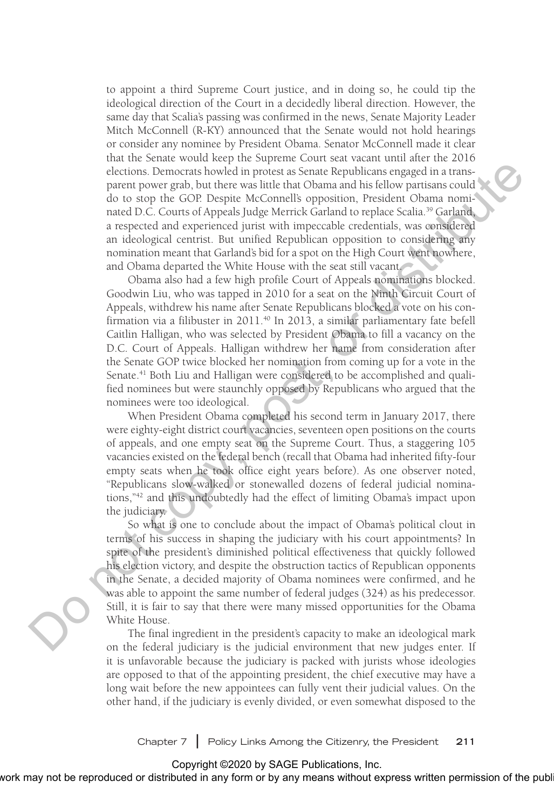to appoint a third Supreme Court justice, and in doing so, he could tip the ideological direction of the Court in a decidedly liberal direction. However, the same day that Scalia's passing was confirmed in the news, Senate Majority Leader Mitch McConnell (R-KY) announced that the Senate would not hold hearings or consider any nominee by President Obama. Senator McConnell made it clear that the Senate would keep the Supreme Court seat vacant until after the 2016 elections. Democrats howled in protest as Senate Republicans engaged in a transparent power grab, but there was little that Obama and his fellow partisans could do to stop the GOP. Despite McConnell's opposition, President Obama nominated D.C. Courts of Appeals Judge Merrick Garland to replace Scalia.<sup>39</sup> Garland, a respected and experienced jurist with impeccable credentials, was considered an ideological centrist. But unified Republican opposition to considering any nomination meant that Garland's bid for a spot on the High Court went nowhere, and Obama departed the White House with the seat still vacant.

Obama also had a few high profile Court of Appeals nominations blocked. Goodwin Liu, who was tapped in 2010 for a seat on the Ninth Circuit Court of Appeals, withdrew his name after Senate Republicans blocked a vote on his confirmation via a filibuster in 2011.<sup>40</sup> In 2013, a similar parliamentary fate befell Caitlin Halligan, who was selected by President Obama to fill a vacancy on the D.C. Court of Appeals. Halligan withdrew her name from consideration after the Senate GOP twice blocked her nomination from coming up for a vote in the Senate.<sup>41</sup> Both Liu and Halligan were considered to be accomplished and qualified nominees but were staunchly opposed by Republicans who argued that the nominees were too ideological. The control or the reproduced or the reproduced or distributed in any form or between the repression or the same of the repression of the repression of the repression of the repression of the repression of the repression

When President Obama completed his second term in January 2017, there were eighty-eight district court vacancies, seventeen open positions on the courts of appeals, and one empty seat on the Supreme Court. Thus, a staggering 105 vacancies existed on the federal bench (recall that Obama had inherited fifty-four empty seats when he took office eight years before). As one observer noted, "Republicans slow-walked or stonewalled dozens of federal judicial nominations,"42 and this undoubtedly had the effect of limiting Obama's impact upon the judiciary.

So what is one to conclude about the impact of Obama's political clout in terms of his success in shaping the judiciary with his court appointments? In spite of the president's diminished political effectiveness that quickly followed his election victory, and despite the obstruction tactics of Republican opponents in the Senate, a decided majority of Obama nominees were confirmed, and he was able to appoint the same number of federal judges (324) as his predecessor. Still, it is fair to say that there were many missed opportunities for the Obama White House.

The final ingredient in the president's capacity to make an ideological mark on the federal judiciary is the judicial environment that new judges enter. If it is unfavorable because the judiciary is packed with jurists whose ideologies are opposed to that of the appointing president, the chief executive may have a long wait before the new appointees can fully vent their judicial values. On the other hand, if the judiciary is evenly divided, or even somewhat disposed to the

Chapter 7 **|** Policy Links Among the Citizenry, the President **<sup>211</sup>**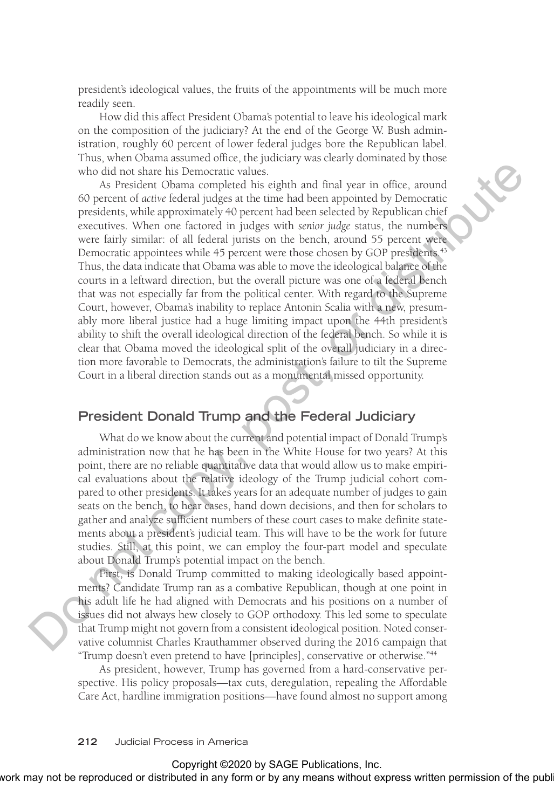president's ideological values, the fruits of the appointments will be much more readily seen.

How did this affect President Obama's potential to leave his ideological mark on the composition of the judiciary? At the end of the George W. Bush administration, roughly 60 percent of lower federal judges bore the Republican label. Thus, when Obama assumed office, the judiciary was clearly dominated by those who did not share his Democratic values.

As President Obama completed his eighth and final year in office, around 60 percent of *active* federal judges at the time had been appointed by Democratic presidents, while approximately 40 percent had been selected by Republican chief executives. When one factored in judges with *senior judge* status, the numbers were fairly similar: of all federal jurists on the bench, around 55 percent were Democratic appointees while 45 percent were those chosen by GOP presidents.<sup>43</sup> Thus, the data indicate that Obama was able to move the ideological balance of the courts in a leftward direction, but the overall picture was one of a federal bench that was not especially far from the political center. With regard to the Supreme Court, however, Obama's inability to replace Antonin Scalia with a new, presumably more liberal justice had a huge limiting impact upon the 44th president's ability to shift the overall ideological direction of the federal bench. So while it is clear that Obama moved the ideological split of the overall judiciary in a direction more favorable to Democrats, the administration's failure to tilt the Supreme Court in a liberal direction stands out as a monumental missed opportunity. show the control or the reproduced or distributed in any field or distributed or distributed in any form of any form of the reproduced in any form or by any form or by any form or by any form or by any form or by any mean

### **President Donald Trump and the Federal Judiciary**

What do we know about the current and potential impact of Donald Trump's administration now that he has been in the White House for two years? At this point, there are no reliable quantitative data that would allow us to make empirical evaluations about the relative ideology of the Trump judicial cohort compared to other presidents. It takes years for an adequate number of judges to gain seats on the bench, to hear cases, hand down decisions, and then for scholars to gather and analyze sufficient numbers of these court cases to make definite statements about a president's judicial team. This will have to be the work for future studies. Still, at this point, we can employ the four-part model and speculate about Donald Trump's potential impact on the bench.

First, is Donald Trump committed to making ideologically based appointments? Candidate Trump ran as a combative Republican, though at one point in his adult life he had aligned with Democrats and his positions on a number of issues did not always hew closely to GOP orthodoxy. This led some to speculate that Trump might not govern from a consistent ideological position. Noted conservative columnist Charles Krauthammer observed during the 2016 campaign that "Trump doesn't even pretend to have [principles], conservative or otherwise."44

As president, however, Trump has governed from a hard-conservative perspective. His policy proposals—tax cuts, deregulation, repealing the Affordable Care Act, hardline immigration positions—have found almost no support among

#### **212** Judicial Process in America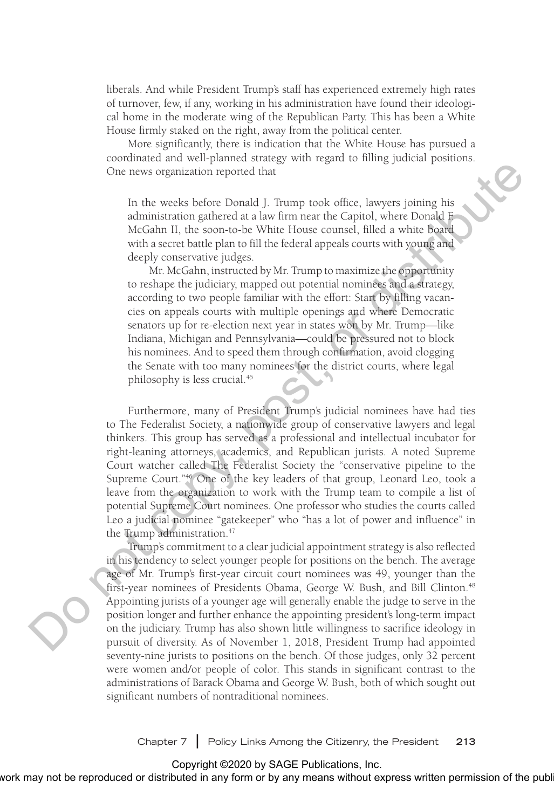liberals. And while President Trump's staff has experienced extremely high rates of turnover, few, if any, working in his administration have found their ideological home in the moderate wing of the Republican Party. This has been a White House firmly staked on the right, away from the political center.

More significantly, there is indication that the White House has pursued a coordinated and well-planned strategy with regard to filling judicial positions. One news organization reported that

In the weeks before Donald J. Trump took office, lawyers joining his administration gathered at a law firm near the Capitol, where Donald F. McGahn II, the soon-to-be White House counsel, filled a white board with a secret battle plan to fill the federal appeals courts with young and deeply conservative judges.

Mr. McGahn, instructed by Mr. Trump to maximize the opportunity to reshape the judiciary, mapped out potential nominees and a strategy, according to two people familiar with the effort: Start by filling vacancies on appeals courts with multiple openings and where Democratic senators up for re-election next year in states won by Mr. Trump—like Indiana, Michigan and Pennsylvania—could be pressured not to block his nominees. And to speed them through confirmation, avoid clogging the Senate with too many nominees for the district courts, where legal philosophy is less crucial.45

Furthermore, many of President Trump's judicial nominees have had ties to The Federalist Society, a nationwide group of conservative lawyers and legal thinkers. This group has served as a professional and intellectual incubator for right-leaning attorneys, academics, and Republican jurists. A noted Supreme Court watcher called The Federalist Society the "conservative pipeline to the Supreme Court."46 One of the key leaders of that group, Leonard Leo, took a leave from the organization to work with the Trump team to compile a list of potential Supreme Court nominees. One professor who studies the courts called Leo a judicial nominee "gatekeeper" who "has a lot of power and influence" in the Trump administration.<sup>47</sup>

Trump's commitment to a clear judicial appointment strategy is also reflected in his tendency to select younger people for positions on the bench. The average age of Mr. Trump's first-year circuit court nominees was 49, younger than the first-year nominees of Presidents Obama, George W. Bush, and Bill Clinton.<sup>48</sup> Appointing jurists of a younger age will generally enable the judge to serve in the position longer and further enhance the appointing president's long-term impact on the judiciary. Trump has also shown little willingness to sacrifice ideology in pursuit of diversity. As of November 1, 2018, President Trump had appointed seventy-nine jurists to positions on the bench. Of those judges, only 32 percent were women and/or people of color. This stands in significant contrast to the administrations of Barack Obama and George W. Bush, both of which sought out significant numbers of nontraditional nominees. Our nesso regard that<br>in the weeks before then all it Trump cock effect, lawyers joining this<br>distribution galenced or all with the form or by a solution of the<br>secondary of the respective or the publisher. Both a solutio

Chapter 7 **|** Policy Links Among the Citizenry, the President **<sup>213</sup>**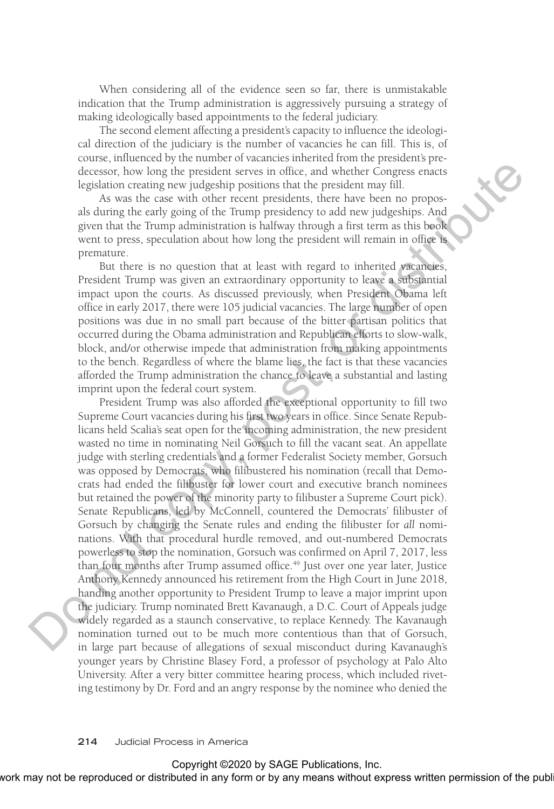When considering all of the evidence seen so far, there is unmistakable indication that the Trump administration is aggressively pursuing a strategy of making ideologically based appointments to the federal judiciary.

The second element affecting a president's capacity to influence the ideological direction of the judiciary is the number of vacancies he can fill. This is, of course, influenced by the number of vacancies inherited from the president's predecessor, how long the president serves in office, and whether Congress enacts legislation creating new judgeship positions that the president may fill.

As was the case with other recent presidents, there have been no proposals during the early going of the Trump presidency to add new judgeships. And given that the Trump administration is halfway through a first term as this book went to press, speculation about how long the president will remain in office is premature.

But there is no question that at least with regard to inherited vacancies, President Trump was given an extraordinary opportunity to leave a substantial impact upon the courts. As discussed previously, when President Obama left office in early 2017, there were 105 judicial vacancies. The large number of open positions was due in no small part because of the bitter partisan politics that occurred during the Obama administration and Republican efforts to slow-walk, block, and/or otherwise impede that administration from making appointments to the bench. Regardless of where the blame lies, the fact is that these vacancies afforded the Trump administration the chance to leave a substantial and lasting imprint upon the federal court system.

President Trump was also afforded the exceptional opportunity to fill two Supreme Court vacancies during his first two years in office. Since Senate Republicans held Scalia's seat open for the incoming administration, the new president wasted no time in nominating Neil Gorsuch to fill the vacant seat. An appellate judge with sterling credentials and a former Federalist Society member, Gorsuch was opposed by Democrats, who filibustered his nomination (recall that Democrats had ended the filibuster for lower court and executive branch nominees but retained the power of the minority party to filibuster a Supreme Court pick). Senate Republicans, led by McConnell, countered the Democrats' filibuster of Gorsuch by changing the Senate rules and ending the filibuster for *all* nominations. With that procedural hurdle removed, and out-numbered Democrats powerless to stop the nomination, Gorsuch was confirmed on April 7, 2017, less than four months after Trump assumed office.<sup>49</sup> Just over one year later, Justice Anthony Kennedy announced his retirement from the High Court in June 2018, handing another opportunity to President Trump to leave a major imprint upon the judiciary. Trump nominated Brett Kavanaugh, a D.C. Court of Appeals judge widely regarded as a staunch conservative, to replace Kennedy. The Kavanaugh nomination turned out to be much more contentious than that of Gorsuch, in large part because of allegations of sexual misconduct during Kavanaugh's younger years by Christine Blasey Ford, a professor of psychology at Palo Alto University. After a very bitter committee hearing process, which included riveting testimony by Dr. Ford and an angry response by the nominee who denied the Creason, Inso in go the produced or distributed in any form or distributed in any position or distributed in any form or by any means with the result permission that the result permission of the best publisher. Since thes

**214** Judicial Process in America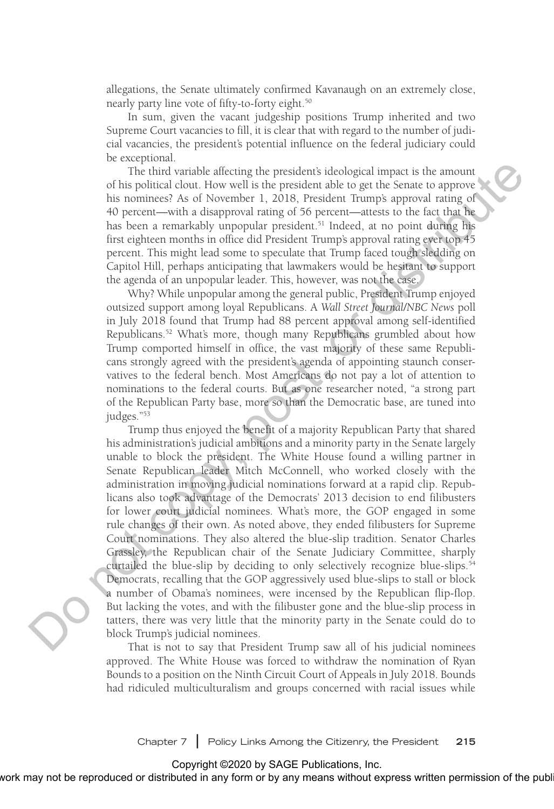allegations, the Senate ultimately confirmed Kavanaugh on an extremely close, nearly party line vote of fifty-to-forty eight.<sup>50</sup>

In sum, given the vacant judgeship positions Trump inherited and two Supreme Court vacancies to fill, it is clear that with regard to the number of judicial vacancies, the president's potential influence on the federal judiciary could be exceptional.

The third variable affecting the president's ideological impact is the amount of his political clout. How well is the president able to get the Senate to approve his nominees? As of November 1, 2018, President Trump's approval rating of 40 percent—with a disapproval rating of 56 percent—attests to the fact that he has been a remarkably unpopular president.<sup>51</sup> Indeed, at no point during his first eighteen months in office did President Trump's approval rating ever top 45 percent. This might lead some to speculate that Trump faced tough sledding on Capitol Hill, perhaps anticipating that lawmakers would be hesitant to support the agenda of an unpopular leader. This, however, was not the case.

Why? While unpopular among the general public, President Trump enjoyed outsized support among loyal Republicans. A *Wall Street Journal/NBC News* poll in July 2018 found that Trump had 88 percent approval among self-identified Republicans.<sup>52</sup> What's more, though many Republicans grumbled about how Trump comported himself in office, the vast majority of these same Republicans strongly agreed with the president's agenda of appointing staunch conservatives to the federal bench. Most Americans do not pay a lot of attention to nominations to the federal courts. But as one researcher noted, "a strong part of the Republican Party base, more so than the Democratic base, are tuned into judges."53

Trump thus enjoyed the benefit of a majority Republican Party that shared his administration's judicial ambitions and a minority party in the Senate largely unable to block the president. The White House found a willing partner in Senate Republican leader Mitch McConnell, who worked closely with the administration in moving judicial nominations forward at a rapid clip. Republicans also took advantage of the Democrats' 2013 decision to end filibusters for lower court judicial nominees. What's more, the GOP engaged in some rule changes of their own. As noted above, they ended filibusters for Supreme Court nominations. They also altered the blue-slip tradition. Senator Charles Grassley, the Republican chair of the Senate Judiciary Committee, sharply curtailed the blue-slip by deciding to only selectively recognize blue-slips.<sup>54</sup> Democrats, recalling that the GOP aggressively used blue-slips to stall or block a number of Obama's nominees, were incensed by the Republican flip-flop. But lacking the votes, and with the filibuster gone and the blue-slip process in tatters, there was very little that the minority party in the Senate could do to block Trump's judicial nominees. The first work may not be reproduced to the restributed in any form of the any means when the representation or the restributed in a notice and  $\epsilon$  control in a mean or by any means when the restriction of the restribute

That is not to say that President Trump saw all of his judicial nominees approved. The White House was forced to withdraw the nomination of Ryan Bounds to a position on the Ninth Circuit Court of Appeals in July 2018. Bounds had ridiculed multiculturalism and groups concerned with racial issues while

Chapter 7 **|** Policy Links Among the Citizenry, the President **<sup>215</sup>**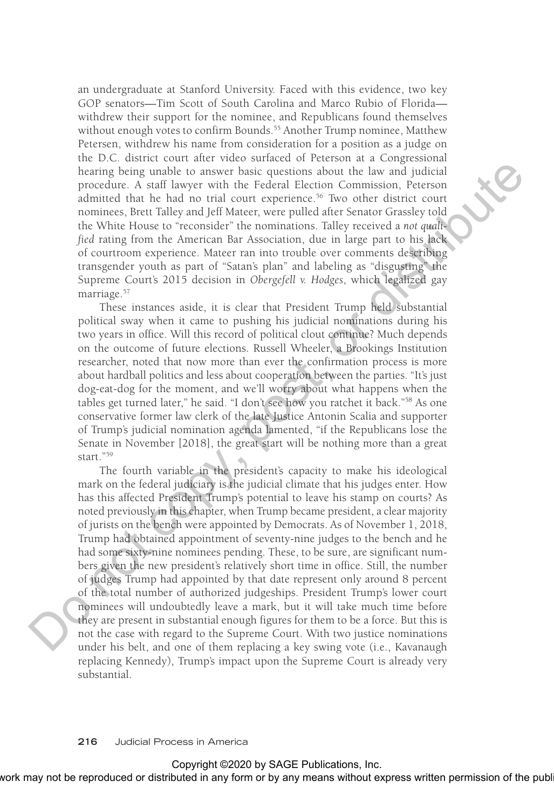an undergraduate at Stanford University. Faced with this evidence, two key GOP senators—Tim Scott of South Carolina and Marco Rubio of Florida withdrew their support for the nominee, and Republicans found themselves without enough votes to confirm Bounds.<sup>55</sup> Another Trump nominee, Matthew Petersen, withdrew his name from consideration for a position as a judge on the D.C. district court after video surfaced of Peterson at a Congressional hearing being unable to answer basic questions about the law and judicial procedure. A staff lawyer with the Federal Election Commission, Peterson admitted that he had no trial court experience.<sup>56</sup> Two other district court nominees, Brett Talley and Jeff Mateer, were pulled after Senator Grassley told the White House to "reconsider" the nominations. Talley received a *not qualified* rating from the American Bar Association, due in large part to his lack of courtroom experience. Mateer ran into trouble over comments describing transgender youth as part of "Satan's plan" and labeling as "disgusting" the Supreme Court's 2015 decision in *Obergefell v. Hodges*, which legalized gay marriage.57

These instances aside, it is clear that President Trump held substantial political sway when it came to pushing his judicial nominations during his two years in office. Will this record of political clout continue? Much depends on the outcome of future elections. Russell Wheeler, a Brookings Institution researcher, noted that now more than ever the confirmation process is more about hardball politics and less about cooperation between the parties. "It's just dog-eat-dog for the moment, and we'll worry about what happens when the tables get turned later," he said. "I don't see how you ratchet it back."58 As one conservative former law clerk of the late Justice Antonin Scalia and supporter of Trump's judicial nomination agenda lamented, "if the Republicans lose the Senate in November [2018], the great start will be nothing more than a great start<sup>"59</sup>

The fourth variable in the president's capacity to make his ideological mark on the federal judiciary is the judicial climate that his judges enter. How has this affected President Trump's potential to leave his stamp on courts? As noted previously in this chapter, when Trump became president, a clear majority of jurists on the bench were appointed by Democrats. As of November 1, 2018, Trump had obtained appointment of seventy-nine judges to the bench and he had some sixty-nine nominees pending. These, to be sure, are significant numbers given the new president's relatively short time in office. Still, the number of judges Trump had appointed by that date represent only around 8 percent of the total number of authorized judgeships. President Trump's lower court nominees will undoubtedly leave a mark, but it will take much time before they are present in substantial enough figures for them to be a force. But this is not the case with regard to the Supreme Court. With two justice nominations under his belt, and one of them replacing a key swing vote (i.e., Kavanaugh replacing Kennedy), Trump's impact upon the Supreme Court is already very substantial. Thermal particles is a statistic may not be represented or distributed in a late or by any form or by any form or by any form or by any form or by any form or by any form or by any form or by any form or by any form or by

#### **216** Judicial Process in America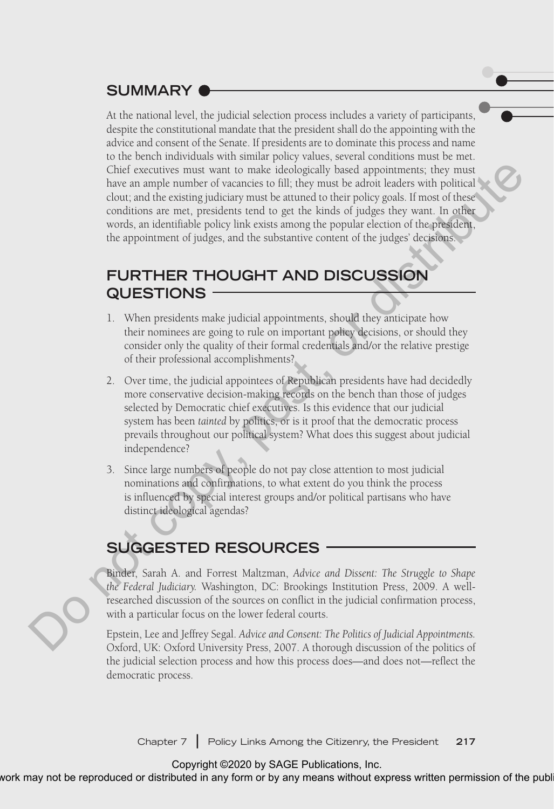### **SUMMARY**

At the national level, the judicial selection process includes a variety of participants, despite the constitutional mandate that the president shall do the appointing with the advice and consent of the Senate. If presidents are to dominate this process and name to the bench individuals with similar policy values, several conditions must be met. Chief executives must want to make ideologically based appointments; they must have an ample number of vacancies to fill; they must be adroit leaders with political clout; and the existing judiciary must be attuned to their policy goals. If most of these conditions are met, presidents tend to get the kinds of judges they want. In other words, an identifiable policy link exists among the popular election of the president, the appointment of judges, and the substantive content of the judges' decisions. Carl at each interest may not be reproduced to the reproduced or the publisher and the case any form or by any means to the reproduced in any form or distributed in any form or by any means of the publisher. The estimate

### **FURTHER THOUGHT AND DISCUSSION QUESTIONS**

- 1. When presidents make judicial appointments, should they anticipate how their nominees are going to rule on important policy decisions, or should they consider only the quality of their formal credentials and/or the relative prestige of their professional accomplishments?
- 2. Over time, the judicial appointees of Republican presidents have had decidedly more conservative decision-making records on the bench than those of judges selected by Democratic chief executives. Is this evidence that our judicial system has been *tainted* by politics, or is it proof that the democratic process prevails throughout our political system? What does this suggest about judicial independence?
- 3. Since large numbers of people do not pay close attention to most judicial nominations and confirmations, to what extent do you think the process is influenced by special interest groups and/or political partisans who have distinct ideological agendas?

## **SUGGESTED RESOURCES**

Binder, Sarah A. and Forrest Maltzman, *Advice and Dissent: The Struggle to Shape the Federal Judiciary.* Washington, DC: Brookings Institution Press, 2009. A wellresearched discussion of the sources on conflict in the judicial confirmation process, with a particular focus on the lower federal courts.

Epstein, Lee and Jeffrey Segal. *Advice and Consent: The Politics of Judicial Appointments.* Oxford, UK: Oxford University Press, 2007. A thorough discussion of the politics of the judicial selection process and how this process does—and does not—reflect the democratic process.

Chapter 7 **|** Policy Links Among the Citizenry, the President **<sup>217</sup>**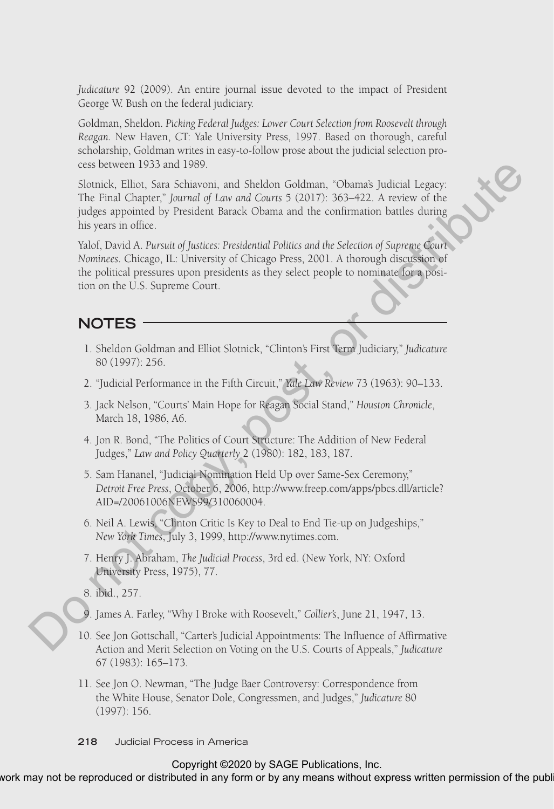*Judicature* 92 (2009). An entire journal issue devoted to the impact of President George W. Bush on the federal judiciary.

Goldman, Sheldon. *Picking Federal Judges: Lower Court Selection from Roosevelt through Reagan.* New Haven, CT: Yale University Press, 1997. Based on thorough, careful scholarship, Goldman writes in easy-to-follow prose about the judicial selection process between 1933 and 1989.

Slotnick, Elliot, Sara Schiavoni, and Sheldon Goldman, "Obama's Judicial Legacy: The Final Chapter," *Journal of Law and Courts* 5 (2017): 363–422. A review of the judges appointed by President Barack Obama and the confirmation battles during his years in office.

Yalof, David A. *Pursuit of Justices: Presidential Politics and the Selection of Supreme Court Nominees*. Chicago, IL: University of Chicago Press, 2001. A thorough discussion of the political pressures upon presidents as they select people to nominate for a position on the U.S. Supreme Court. The First Constraint (1983) and 1988 the reproduced or distributed in any form or by a set of the reproduced in any form or by any means of the publisher of the publisher permission of the publisher. Device any means when

### **NOTES**

- 1. Sheldon Goldman and Elliot Slotnick, "Clinton's First Term Judiciary," *Judicature* 80 (1997): 256.
- 2. "Judicial Performance in the Fifth Circuit," *Yale Law Review* 73 (1963): 90–133.
- 3. Jack Nelson, "Courts' Main Hope for Reagan Social Stand," *Houston Chronicle*, March 18, 1986, A6.
- 4. Jon R. Bond, "The Politics of Court Structure: The Addition of New Federal Judges," *Law and Policy Quarterly* 2 (1980): 182, 183, 187.
- 5. Sam Hananel, "Judicial Nomination Held Up over Same-Sex Ceremony," *Detroit Free Press*, October 6, 2006, http://www.freep.com/apps/pbcs.dll/article? AID=/20061006NEWS99/310060004.
- 6. Neil A. Lewis, "Clinton Critic Is Key to Deal to End Tie-up on Judgeships," *New York Times*, July 3, 1999, http://www.nytimes.com.
- 7. Henry J. Abraham, *The Judicial Process*, 3rd ed. (New York, NY: Oxford University Press, 1975), 77.
- 8. ibid., 257.
- 9. James A. Farley, "Why I Broke with Roosevelt," *Collier's*, June 21, 1947, 13.
- 10. See Jon Gottschall, "Carter's Judicial Appointments: The Influence of Affirmative Action and Merit Selection on Voting on the U.S. Courts of Appeals," *Judicature* 67 (1983): 165–173.
- 11. See Jon O. Newman, "The Judge Baer Controversy: Correspondence from the White House, Senator Dole, Congressmen, and Judges," *Judicature* 80 (1997): 156.
- **218** Judicial Process in America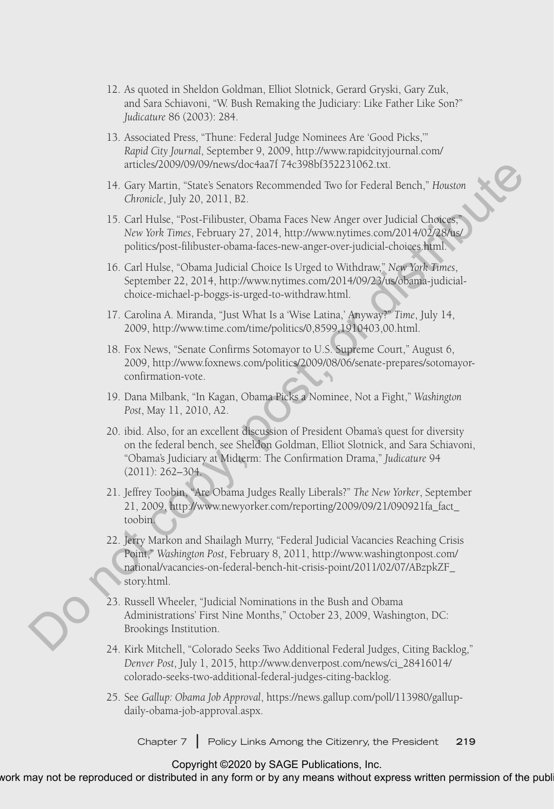- 12. As quoted in Sheldon Goldman, Elliot Slotnick, Gerard Gryski, Gary Zuk, and Sara Schiavoni, "W. Bush Remaking the Judiciary: Like Father Like Son?" *Judicature* 86 (2003): 284.
- 13. Associated Press, "Thune: Federal Judge Nominees Are 'Good Picks,'" *Rapid City Journal*, September 9, 2009, http://www.rapidcityjournal.com/ articles/2009/09/09/news/doc4aa7f 74c398bf352231062.txt.
- 14. Gary Martin, "State's Senators Recommended Two for Federal Bench," *Houston Chronicle*, July 20, 2011, B2.
- 15. Carl Hulse, "Post-Filibuster, Obama Faces New Anger over Judicial Choices," *New York Times*, February 27, 2014, http://www.nytimes.com/2014/02/28/us/ politics/post-filibuster-obama-faces-new-anger-over-judicial-choices.html.
- 16. Carl Hulse, "Obama Judicial Choice Is Urged to Withdraw," *New York Times*, September 22, 2014, http://www.nytimes.com/2014/09/23/us/obama-judicialchoice-michael-p-boggs-is-urged-to-withdraw.html.
- 17. Carolina A. Miranda, "Just What Is a 'Wise Latina,' Anyway?" *Time*, July 14, 2009, http://www.time.com/time/politics/0,8599,1910403,00.html.
- 18. Fox News, "Senate Confirms Sotomayor to U.S. Supreme Court," August 6, 2009, http://www.foxnews.com/politics/2009/08/06/senate-prepares/sotomayorconfirmation-vote.
- 19. Dana Milbank, "In Kagan, Obama Picks a Nominee, Not a Fight," *Washington Post*, May 11, 2010, A2.
- 20. ibid. Also, for an excellent discussion of President Obama's quest for diversity on the federal bench, see Sheldon Goldman, Elliot Slotnick, and Sara Schiavoni, "Obama's Judiciary at Midterm: The Confirmation Drama," *Judicature* 94 (2011): 262–304. This work may not be repressed or distributed or distributed in any form or by any means which the publisher of the publisher. The reproduced in any form of the publisher of the publisher. This with the publisher of the p
	- 21. Jeffrey Toobin, "Are Obama Judges Really Liberals?" *The New Yorker*, September 21, 2009, http://www.newyorker.com/reporting/2009/09/21/090921fa\_fact\_ toobin.
	- 22. Jerry Markon and Shailagh Murry, "Federal Judicial Vacancies Reaching Crisis Point," *Washington Post*, February 8, 2011, http://www.washingtonpost.com/ national/vacancies-on-federal-bench-hit-crisis-point/2011/02/07/ABzpkZF\_ story.html.
	- 23. Russell Wheeler, "Judicial Nominations in the Bush and Obama Administrations' First Nine Months," October 23, 2009, Washington, DC: Brookings Institution.
	- 24. Kirk Mitchell, "Colorado Seeks Two Additional Federal Judges, Citing Backlog," *Denver Post*, July 1, 2015, http://www.denverpost.com/news/ci\_28416014/ colorado-seeks-two-additional-federal-judges-citing-backlog.
	- 25. See *Gallup: Obama Job Approval*, https://news.gallup.com/poll/113980/gallupdaily-obama-job-approval.aspx.

Chapter 7 **|** Policy Links Among the Citizenry, the President **<sup>219</sup>**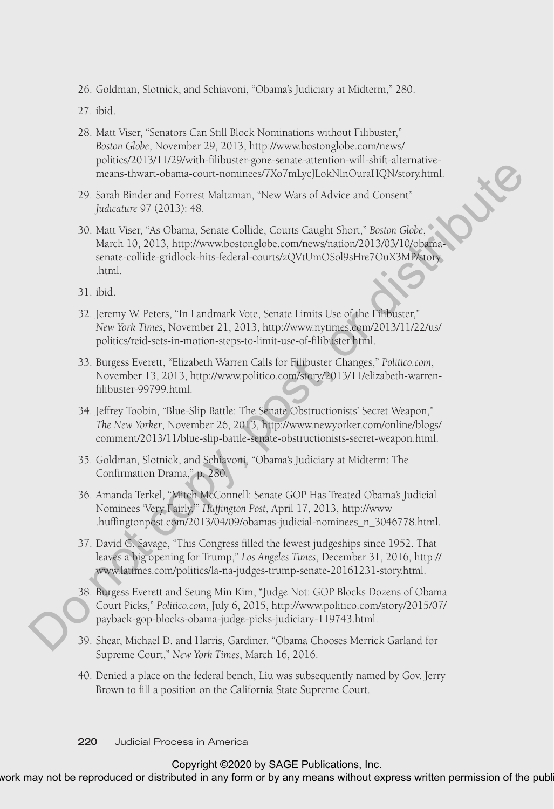- 26. Goldman, Slotnick, and Schiavoni, "Obama's Judiciary at Midterm," 280.
- 27. ibid.
- 28. Matt Viser, "Senators Can Still Block Nominations without Filibuster," *Boston Globe*, November 29, 2013, http://www.bostonglobe.com/news/ politics/2013/11/29/with-filibuster-gone-senate-attention-will-shift-alternativemeans-thwart-obama-court-nominees/7Xo7mLycJLokNlnOuraHQN/story.html.
- 29. Sarah Binder and Forrest Maltzman, "New Wars of Advice and Consent" *Judicature* 97 (2013): 48.
- 30. Matt Viser, "As Obama, Senate Collide, Courts Caught Short," *Boston Globe*, March 10, 2013, http://www.bostonglobe.com/news/nation/2013/03/10/obamasenate-collide-gridlock-hits-federal-courts/zQVtUmOSol9sHre7OuX3MP/story .html. The Vacant may not be repressed or distributed in a publisher and the publisher. The value of the reproduced in any form or between the publishers with the publisher. This was distributed in any form or between the publis
	- 31. ibid.
	- 32. Jeremy W. Peters, "In Landmark Vote, Senate Limits Use of the Filibuster," *New York Times*, November 21, 2013, http://www.nytimes.com/2013/11/22/us/ politics/reid-sets-in-motion-steps-to-limit-use-of-filibuster.html.
	- 33. Burgess Everett, "Elizabeth Warren Calls for Filibuster Changes," *Politico.com*, November 13, 2013, http://www.politico.com/story/2013/11/elizabeth-warrenfilibuster-99799.html.
	- 34. Jeffrey Toobin, "Blue-Slip Battle: The Senate Obstructionists' Secret Weapon," *The New Yorker*, November 26, 2013, http://www.newyorker.com/online/blogs/ comment/2013/11/blue-slip-battle-senate-obstructionists-secret-weapon.html.
	- 35. Goldman, Slotnick, and Schiavoni, "Obama's Judiciary at Midterm: The Confirmation Drama," p. 280.
	- 36. Amanda Terkel, "Mitch McConnell: Senate GOP Has Treated Obama's Judicial Nominees 'Very Fairly,'" *Huffington Post*, April 17, 2013, http://www .huffingtonpost.com/2013/04/09/obamas-judicial-nominees\_n\_3046778.html.
	- 37. David G. Savage, "This Congress filled the fewest judgeships since 1952. That leaves a big opening for Trump," *Los Angeles Times*, December 31, 2016, http:// www.latimes.com/politics/la-na-judges-trump-senate-20161231-story.html.
	- 38. Burgess Everett and Seung Min Kim, "Judge Not: GOP Blocks Dozens of Obama Court Picks," *Politico.com*, July 6, 2015, http://www.politico.com/story/2015/07/ payback-gop-blocks-obama-judge-picks-judiciary-119743.html.
	- 39. Shear, Michael D. and Harris, Gardiner. "Obama Chooses Merrick Garland for Supreme Court," *New York Times*, March 16, 2016.
	- 40. Denied a place on the federal bench, Liu was subsequently named by Gov. Jerry Brown to fill a position on the California State Supreme Court.
	- **220** Judicial Process in America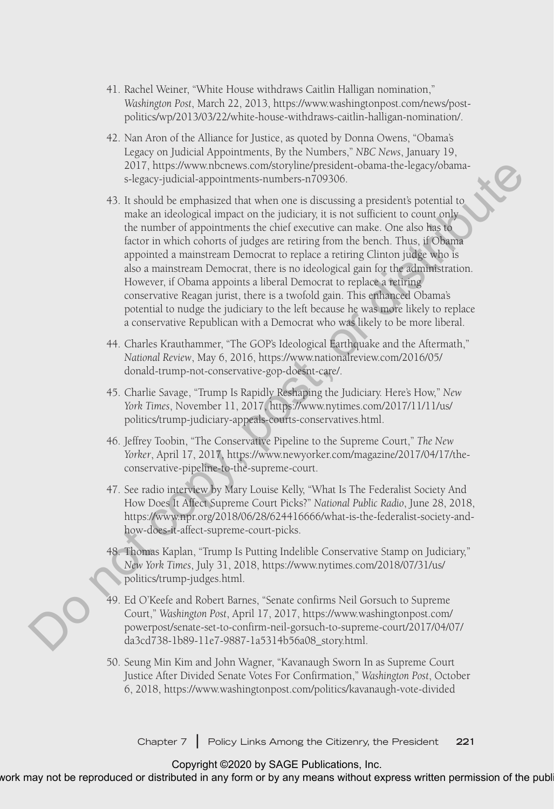- 41. Rachel Weiner, "White House withdraws Caitlin Halligan nomination," *Washington Post*, March 22, 2013, https://www.washingtonpost.com/news/postpolitics/wp/2013/03/22/white-house-withdraws-caitlin-halligan-nomination/.
- 42. Nan Aron of the Alliance for Justice, as quoted by Donna Owens, "Obama's Legacy on Judicial Appointments, By the Numbers," *NBC News*, January 19, 2017, https://www.nbcnews.com/storyline/president-obama-the-legacy/obamas-legacy-judicial-appointments-numbers-n709306.
- 43. It should be emphasized that when one is discussing a president's potential to make an ideological impact on the judiciary, it is not sufficient to count only the number of appointments the chief executive can make. One also has to factor in which cohorts of judges are retiring from the bench. Thus, if Obama appointed a mainstream Democrat to replace a retiring Clinton judge who is also a mainstream Democrat, there is no ideological gain for the administration. However, if Obama appoints a liberal Democrat to replace a retiring conservative Reagan jurist, there is a twofold gain. This enhanced Obama's potential to nudge the judiciary to the left because he was more likely to replace a conservative Republican with a Democrat who was likely to be more liberal. This work may not be represented that we represent the reproduced or distributed in any form or by any form or by any means with a series the stributed in permission is precised to the publisher or distributed in any for
	- 44. Charles Krauthammer, "The GOP's Ideological Earthquake and the Aftermath," *National Review*, May 6, 2016, https://www.nationalreview.com/2016/05/ donald-trump-not-conservative-gop-doesnt-care/.
	- 45. Charlie Savage, "Trump Is Rapidly Reshaping the Judiciary. Here's How," *New York Times*, November 11, 2017, https://www.nytimes.com/2017/11/11/us/ politics/trump-judiciary-appeals-courts-conservatives.html.
	- 46. Jeffrey Toobin, "The Conservative Pipeline to the Supreme Court," *The New Yorker*, April 17, 2017, https://www.newyorker.com/magazine/2017/04/17/theconservative-pipeline-to-the-supreme-court.
	- 47. See radio interview by Mary Louise Kelly, "What Is The Federalist Society And How Does It Affect Supreme Court Picks?" *National Public Radio*, June 28, 2018, https://www.npr.org/2018/06/28/624416666/what-is-the-federalist-society-andhow-does-it-affect-supreme-court-picks.
	- 48. Thomas Kaplan, "Trump Is Putting Indelible Conservative Stamp on Judiciary," *New York Times*, July 31, 2018, https://www.nytimes.com/2018/07/31/us/ politics/trump-judges.html.
	- 49. Ed O'Keefe and Robert Barnes, "Senate confirms Neil Gorsuch to Supreme Court," *Washington Post*, April 17, 2017, https://www.washingtonpost.com/ powerpost/senate-set-to-confirm-neil-gorsuch-to-supreme-court/2017/04/07/ da3cd738-1b89-11e7-9887-1a5314b56a08\_story.html.
	- 50. Seung Min Kim and John Wagner, "Kavanaugh Sworn In as Supreme Court Justice After Divided Senate Votes For Confirmation," *Washington Post*, October 6, 2018, https://www.washingtonpost.com/politics/kavanaugh-vote-divided

Chapter 7 **|** Policy Links Among the Citizenry, the President **<sup>221</sup>**